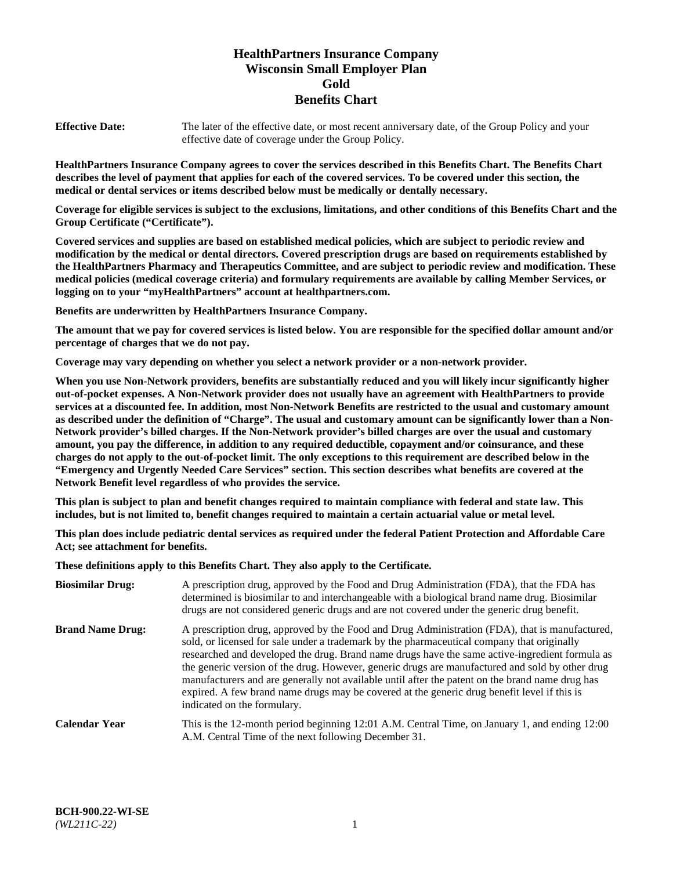# **HealthPartners Insurance Company Wisconsin Small Employer Plan Gold Benefits Chart**

**Effective Date:** The later of the effective date, or most recent anniversary date, of the Group Policy and your effective date of coverage under the Group Policy.

**HealthPartners Insurance Company agrees to cover the services described in this Benefits Chart. The Benefits Chart describes the level of payment that applies for each of the covered services. To be covered under this section, the medical or dental services or items described below must be medically or dentally necessary.**

**Coverage for eligible services is subject to the exclusions, limitations, and other conditions of this Benefits Chart and the Group Certificate ("Certificate").**

**Covered services and supplies are based on established medical policies, which are subject to periodic review and modification by the medical or dental directors. Covered prescription drugs are based on requirements established by the HealthPartners Pharmacy and Therapeutics Committee, and are subject to periodic review and modification. These medical policies (medical coverage criteria) and formulary requirements are available by calling Member Services, or logging on to your "myHealthPartners" account at [healthpartners.com.](https://www.healthpartners.com/hp/index.html)** 

**Benefits are underwritten by HealthPartners Insurance Company.**

**The amount that we pay for covered services is listed below. You are responsible for the specified dollar amount and/or percentage of charges that we do not pay.**

**Coverage may vary depending on whether you select a network provider or a non-network provider.**

**When you use Non-Network providers, benefits are substantially reduced and you will likely incur significantly higher out-of-pocket expenses. A Non-Network provider does not usually have an agreement with HealthPartners to provide services at a discounted fee. In addition, most Non-Network Benefits are restricted to the usual and customary amount as described under the definition of "Charge". The usual and customary amount can be significantly lower than a Non-Network provider's billed charges. If the Non-Network provider's billed charges are over the usual and customary amount, you pay the difference, in addition to any required deductible, copayment and/or coinsurance, and these charges do not apply to the out-of-pocket limit. The only exceptions to this requirement are described below in the "Emergency and Urgently Needed Care Services" section. This section describes what benefits are covered at the Network Benefit level regardless of who provides the service.**

**This plan is subject to plan and benefit changes required to maintain compliance with federal and state law. This includes, but is not limited to, benefit changes required to maintain a certain actuarial value or metal level.**

**This plan does include pediatric dental services as required under the federal Patient Protection and Affordable Care Act; see attachment for benefits.**

**These definitions apply to this Benefits Chart. They also apply to the Certificate.**

| <b>Biosimilar Drug:</b> | A prescription drug, approved by the Food and Drug Administration (FDA), that the FDA has<br>determined is biosimilar to and interchangeable with a biological brand name drug. Biosimilar<br>drugs are not considered generic drugs and are not covered under the generic drug benefit.                                                                                                                                                                                                                                                                                                                                           |
|-------------------------|------------------------------------------------------------------------------------------------------------------------------------------------------------------------------------------------------------------------------------------------------------------------------------------------------------------------------------------------------------------------------------------------------------------------------------------------------------------------------------------------------------------------------------------------------------------------------------------------------------------------------------|
| <b>Brand Name Drug:</b> | A prescription drug, approved by the Food and Drug Administration (FDA), that is manufactured,<br>sold, or licensed for sale under a trademark by the pharmaceutical company that originally<br>researched and developed the drug. Brand name drugs have the same active-ingredient formula as<br>the generic version of the drug. However, generic drugs are manufactured and sold by other drug<br>manufacturers and are generally not available until after the patent on the brand name drug has<br>expired. A few brand name drugs may be covered at the generic drug benefit level if this is<br>indicated on the formulary. |
| <b>Calendar Year</b>    | This is the 12-month period beginning 12:01 A.M. Central Time, on January 1, and ending 12:00<br>A.M. Central Time of the next following December 31.                                                                                                                                                                                                                                                                                                                                                                                                                                                                              |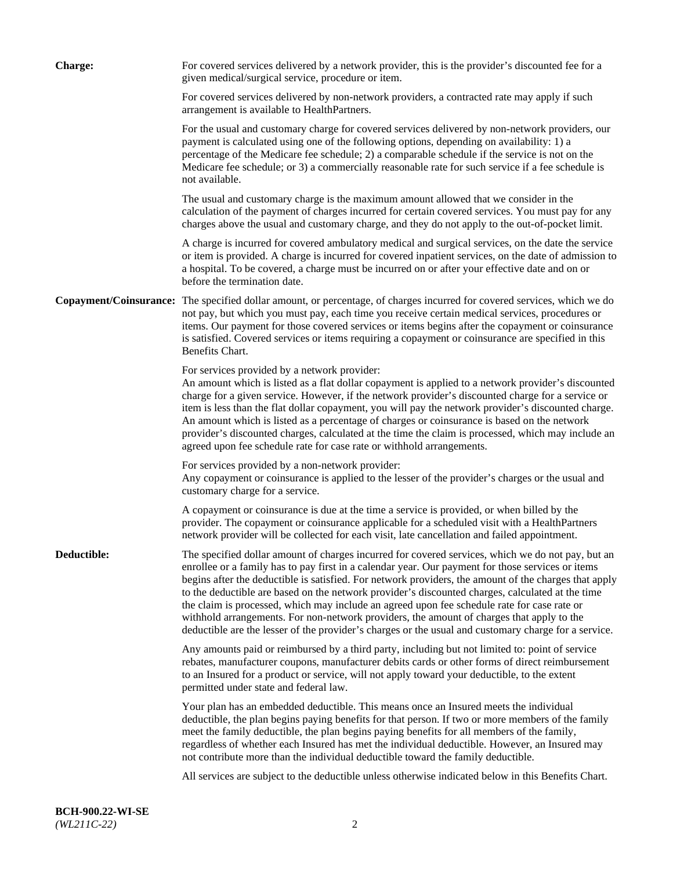| <b>Charge:</b> | For covered services delivered by a network provider, this is the provider's discounted fee for a<br>given medical/surgical service, procedure or item.                                                                                                                                                                                                                                                                                                                                                                                                                                                                                                                                                                 |
|----------------|-------------------------------------------------------------------------------------------------------------------------------------------------------------------------------------------------------------------------------------------------------------------------------------------------------------------------------------------------------------------------------------------------------------------------------------------------------------------------------------------------------------------------------------------------------------------------------------------------------------------------------------------------------------------------------------------------------------------------|
|                | For covered services delivered by non-network providers, a contracted rate may apply if such<br>arrangement is available to HealthPartners.                                                                                                                                                                                                                                                                                                                                                                                                                                                                                                                                                                             |
|                | For the usual and customary charge for covered services delivered by non-network providers, our<br>payment is calculated using one of the following options, depending on availability: 1) a<br>percentage of the Medicare fee schedule; 2) a comparable schedule if the service is not on the<br>Medicare fee schedule; or 3) a commercially reasonable rate for such service if a fee schedule is<br>not available.                                                                                                                                                                                                                                                                                                   |
|                | The usual and customary charge is the maximum amount allowed that we consider in the<br>calculation of the payment of charges incurred for certain covered services. You must pay for any<br>charges above the usual and customary charge, and they do not apply to the out-of-pocket limit.                                                                                                                                                                                                                                                                                                                                                                                                                            |
|                | A charge is incurred for covered ambulatory medical and surgical services, on the date the service<br>or item is provided. A charge is incurred for covered inpatient services, on the date of admission to<br>a hospital. To be covered, a charge must be incurred on or after your effective date and on or<br>before the termination date.                                                                                                                                                                                                                                                                                                                                                                           |
|                | Copayment/Coinsurance: The specified dollar amount, or percentage, of charges incurred for covered services, which we do<br>not pay, but which you must pay, each time you receive certain medical services, procedures or<br>items. Our payment for those covered services or items begins after the copayment or coinsurance<br>is satisfied. Covered services or items requiring a copayment or coinsurance are specified in this<br>Benefits Chart.                                                                                                                                                                                                                                                                 |
|                | For services provided by a network provider:<br>An amount which is listed as a flat dollar copayment is applied to a network provider's discounted<br>charge for a given service. However, if the network provider's discounted charge for a service or<br>item is less than the flat dollar copayment, you will pay the network provider's discounted charge.<br>An amount which is listed as a percentage of charges or coinsurance is based on the network<br>provider's discounted charges, calculated at the time the claim is processed, which may include an<br>agreed upon fee schedule rate for case rate or withhold arrangements.                                                                            |
|                | For services provided by a non-network provider:<br>Any copayment or coinsurance is applied to the lesser of the provider's charges or the usual and<br>customary charge for a service.                                                                                                                                                                                                                                                                                                                                                                                                                                                                                                                                 |
|                | A copayment or coinsurance is due at the time a service is provided, or when billed by the<br>provider. The copayment or coinsurance applicable for a scheduled visit with a HealthPartners<br>network provider will be collected for each visit, late cancellation and failed appointment.                                                                                                                                                                                                                                                                                                                                                                                                                             |
| Deductible:    | The specified dollar amount of charges incurred for covered services, which we do not pay, but an<br>enrollee or a family has to pay first in a calendar year. Our payment for those services or items<br>begins after the deductible is satisfied. For network providers, the amount of the charges that apply<br>to the deductible are based on the network provider's discounted charges, calculated at the time<br>the claim is processed, which may include an agreed upon fee schedule rate for case rate or<br>withhold arrangements. For non-network providers, the amount of charges that apply to the<br>deductible are the lesser of the provider's charges or the usual and customary charge for a service. |
|                | Any amounts paid or reimbursed by a third party, including but not limited to: point of service<br>rebates, manufacturer coupons, manufacturer debits cards or other forms of direct reimbursement<br>to an Insured for a product or service, will not apply toward your deductible, to the extent<br>permitted under state and federal law.                                                                                                                                                                                                                                                                                                                                                                            |
|                | Your plan has an embedded deductible. This means once an Insured meets the individual<br>deductible, the plan begins paying benefits for that person. If two or more members of the family<br>meet the family deductible, the plan begins paying benefits for all members of the family,<br>regardless of whether each Insured has met the individual deductible. However, an Insured may<br>not contribute more than the individual deductible toward the family deductible.                                                                                                                                                                                                                                           |
|                | All services are subject to the deductible unless otherwise indicated below in this Benefits Chart.                                                                                                                                                                                                                                                                                                                                                                                                                                                                                                                                                                                                                     |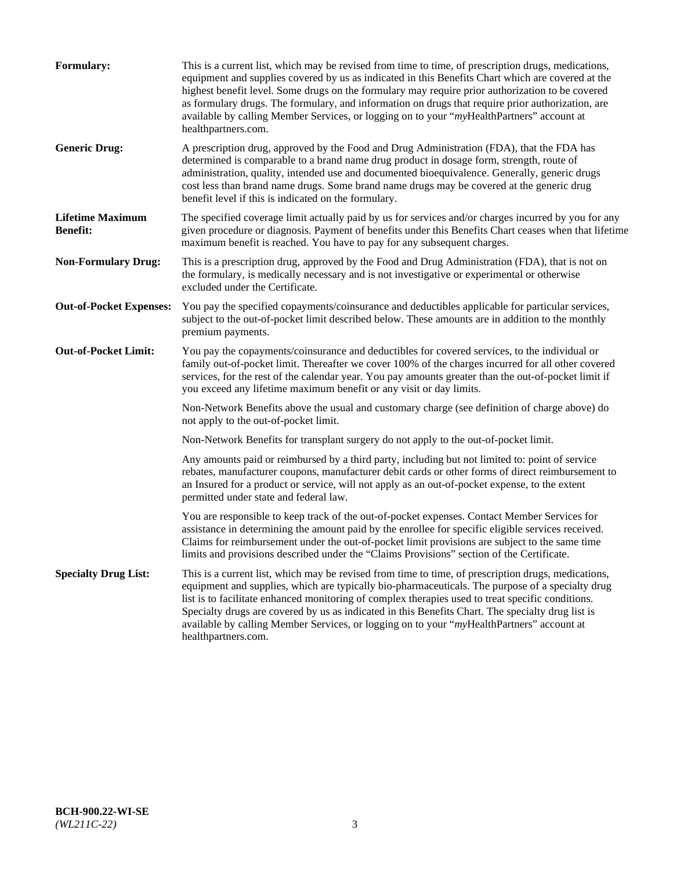| <b>Formulary:</b>                          | This is a current list, which may be revised from time to time, of prescription drugs, medications,<br>equipment and supplies covered by us as indicated in this Benefits Chart which are covered at the<br>highest benefit level. Some drugs on the formulary may require prior authorization to be covered<br>as formulary drugs. The formulary, and information on drugs that require prior authorization, are<br>available by calling Member Services, or logging on to your "myHealthPartners" account at<br>healthpartners.com. |
|--------------------------------------------|---------------------------------------------------------------------------------------------------------------------------------------------------------------------------------------------------------------------------------------------------------------------------------------------------------------------------------------------------------------------------------------------------------------------------------------------------------------------------------------------------------------------------------------|
| <b>Generic Drug:</b>                       | A prescription drug, approved by the Food and Drug Administration (FDA), that the FDA has<br>determined is comparable to a brand name drug product in dosage form, strength, route of<br>administration, quality, intended use and documented bioequivalence. Generally, generic drugs<br>cost less than brand name drugs. Some brand name drugs may be covered at the generic drug<br>benefit level if this is indicated on the formulary.                                                                                           |
| <b>Lifetime Maximum</b><br><b>Benefit:</b> | The specified coverage limit actually paid by us for services and/or charges incurred by you for any<br>given procedure or diagnosis. Payment of benefits under this Benefits Chart ceases when that lifetime<br>maximum benefit is reached. You have to pay for any subsequent charges.                                                                                                                                                                                                                                              |
| <b>Non-Formulary Drug:</b>                 | This is a prescription drug, approved by the Food and Drug Administration (FDA), that is not on<br>the formulary, is medically necessary and is not investigative or experimental or otherwise<br>excluded under the Certificate.                                                                                                                                                                                                                                                                                                     |
| <b>Out-of-Pocket Expenses:</b>             | You pay the specified copayments/coinsurance and deductibles applicable for particular services,<br>subject to the out-of-pocket limit described below. These amounts are in addition to the monthly<br>premium payments.                                                                                                                                                                                                                                                                                                             |
| <b>Out-of-Pocket Limit:</b>                | You pay the copayments/coinsurance and deductibles for covered services, to the individual or<br>family out-of-pocket limit. Thereafter we cover 100% of the charges incurred for all other covered<br>services, for the rest of the calendar year. You pay amounts greater than the out-of-pocket limit if<br>you exceed any lifetime maximum benefit or any visit or day limits.                                                                                                                                                    |
|                                            | Non-Network Benefits above the usual and customary charge (see definition of charge above) do<br>not apply to the out-of-pocket limit.                                                                                                                                                                                                                                                                                                                                                                                                |
|                                            | Non-Network Benefits for transplant surgery do not apply to the out-of-pocket limit.                                                                                                                                                                                                                                                                                                                                                                                                                                                  |
|                                            | Any amounts paid or reimbursed by a third party, including but not limited to: point of service<br>rebates, manufacturer coupons, manufacturer debit cards or other forms of direct reimbursement to<br>an Insured for a product or service, will not apply as an out-of-pocket expense, to the extent<br>permitted under state and federal law.                                                                                                                                                                                      |
|                                            | You are responsible to keep track of the out-of-pocket expenses. Contact Member Services for<br>assistance in determining the amount paid by the enrollee for specific eligible services received.<br>Claims for reimbursement under the out-of-pocket limit provisions are subject to the same time<br>limits and provisions described under the "Claims Provisions" section of the Certificate.                                                                                                                                     |
| <b>Specialty Drug List:</b>                | This is a current list, which may be revised from time to time, of prescription drugs, medications,<br>equipment and supplies, which are typically bio-pharmaceuticals. The purpose of a specialty drug<br>list is to facilitate enhanced monitoring of complex therapies used to treat specific conditions.<br>Specialty drugs are covered by us as indicated in this Benefits Chart. The specialty drug list is<br>available by calling Member Services, or logging on to your "myHealthPartners" account at<br>healthpartners.com. |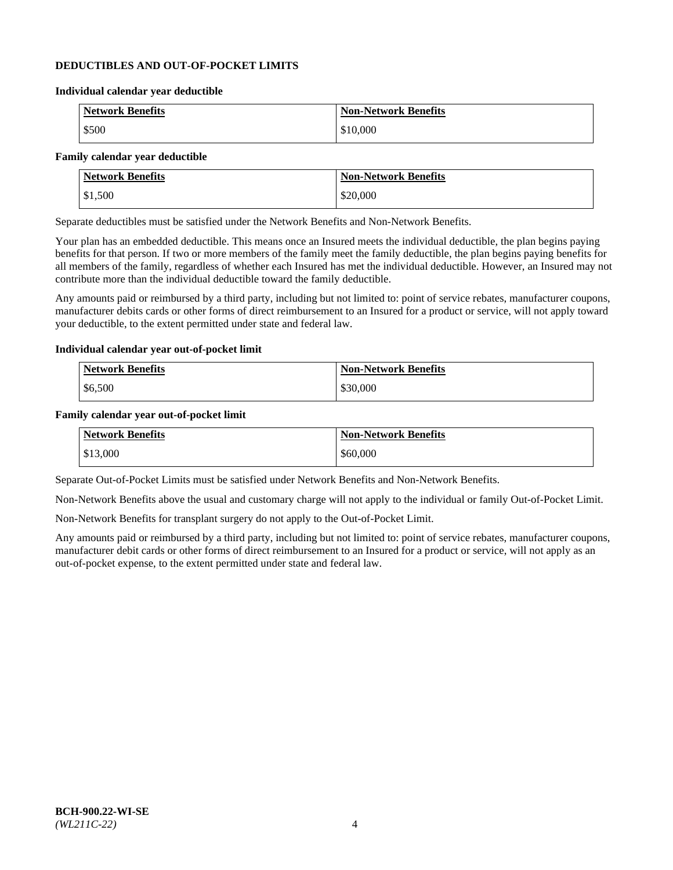#### **DEDUCTIBLES AND OUT-OF-POCKET LIMITS**

#### **Individual calendar year deductible**

| <b>Network Benefits</b> | <b>Non-Network Benefits</b> |
|-------------------------|-----------------------------|
| \$500                   | \$10,000                    |

#### **Family calendar year deductible**

| <b>Network Benefits</b> | <b>Non-Network Benefits</b> |
|-------------------------|-----------------------------|
| \$1,500                 | \$20,000                    |

Separate deductibles must be satisfied under the Network Benefits and Non-Network Benefits.

Your plan has an embedded deductible. This means once an Insured meets the individual deductible, the plan begins paying benefits for that person. If two or more members of the family meet the family deductible, the plan begins paying benefits for all members of the family, regardless of whether each Insured has met the individual deductible. However, an Insured may not contribute more than the individual deductible toward the family deductible.

Any amounts paid or reimbursed by a third party, including but not limited to: point of service rebates, manufacturer coupons, manufacturer debits cards or other forms of direct reimbursement to an Insured for a product or service, will not apply toward your deductible, to the extent permitted under state and federal law.

#### **Individual calendar year out-of-pocket limit**

| Network Benefits | <b>Non-Network Benefits</b> |
|------------------|-----------------------------|
| \$6,500          | \$30,000                    |

#### **Family calendar year out-of-pocket limit**

| <b>Network Benefits</b> | <b>Non-Network Benefits</b> |
|-------------------------|-----------------------------|
| $\frac{$13,000}{}$      | \$60,000                    |

Separate Out-of-Pocket Limits must be satisfied under Network Benefits and Non-Network Benefits.

Non-Network Benefits above the usual and customary charge will not apply to the individual or family Out-of-Pocket Limit.

Non-Network Benefits for transplant surgery do not apply to the Out-of-Pocket Limit.

Any amounts paid or reimbursed by a third party, including but not limited to: point of service rebates, manufacturer coupons, manufacturer debit cards or other forms of direct reimbursement to an Insured for a product or service, will not apply as an out-of-pocket expense, to the extent permitted under state and federal law.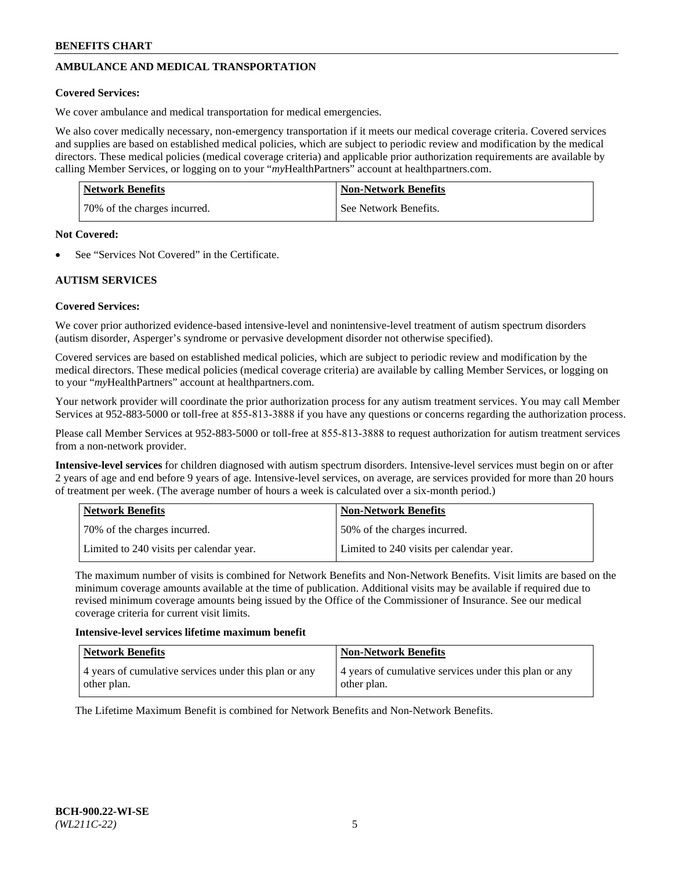# **AMBULANCE AND MEDICAL TRANSPORTATION**

#### **Covered Services:**

We cover ambulance and medical transportation for medical emergencies.

We also cover medically necessary, non-emergency transportation if it meets our medical coverage criteria. Covered services and supplies are based on established medical policies, which are subject to periodic review and modification by the medical directors. These medical policies (medical coverage criteria) and applicable prior authorization requirements are available by calling Member Services, or logging on to your "*my*HealthPartners" account a[t healthpartners.com.](https://www.healthpartners.com/hp/index.html)

| <b>Network Benefits</b>      | <b>Non-Network Benefits</b> |
|------------------------------|-----------------------------|
| 70% of the charges incurred. | See Network Benefits.       |

#### **Not Covered:**

See "Services Not Covered" in the Certificate.

# **AUTISM SERVICES**

## **Covered Services:**

We cover prior authorized evidence-based intensive-level and nonintensive-level treatment of autism spectrum disorders (autism disorder, Asperger's syndrome or pervasive development disorder not otherwise specified).

Covered services are based on established medical policies, which are subject to periodic review and modification by the medical directors. These medical policies (medical coverage criteria) are available by calling Member Services, or logging on to your "*my*HealthPartners" account at [healthpartners.com.](https://www.healthpartners.com/hp/index.html)

Your network provider will coordinate the prior authorization process for any autism treatment services. You may call Member Services at 952-883-5000 or toll-free at 855-813-3888 if you have any questions or concerns regarding the authorization process.

Please call Member Services at 952-883-5000 or toll-free at 855-813-3888 to request authorization for autism treatment services from a non-network provider.

**Intensive-level services** for children diagnosed with autism spectrum disorders. Intensive-level services must begin on or after 2 years of age and end before 9 years of age. Intensive-level services, on average, are services provided for more than 20 hours of treatment per week. (The average number of hours a week is calculated over a six-month period.)

| Network Benefits                         | <b>Non-Network Benefits</b>              |
|------------------------------------------|------------------------------------------|
| 70% of the charges incurred.             | 50% of the charges incurred.             |
| Limited to 240 visits per calendar year. | Limited to 240 visits per calendar year. |

The maximum number of visits is combined for Network Benefits and Non-Network Benefits. Visit limits are based on the minimum coverage amounts available at the time of publication. Additional visits may be available if required due to revised minimum coverage amounts being issued by the Office of the Commissioner of Insurance. See our medical coverage criteria for current visit limits.

#### **Intensive-level services lifetime maximum benefit**

| Network Benefits                                                     | <b>Non-Network Benefits</b>                                          |
|----------------------------------------------------------------------|----------------------------------------------------------------------|
| 4 years of cumulative services under this plan or any<br>other plan. | 4 years of cumulative services under this plan or any<br>other plan. |

The Lifetime Maximum Benefit is combined for Network Benefits and Non-Network Benefits.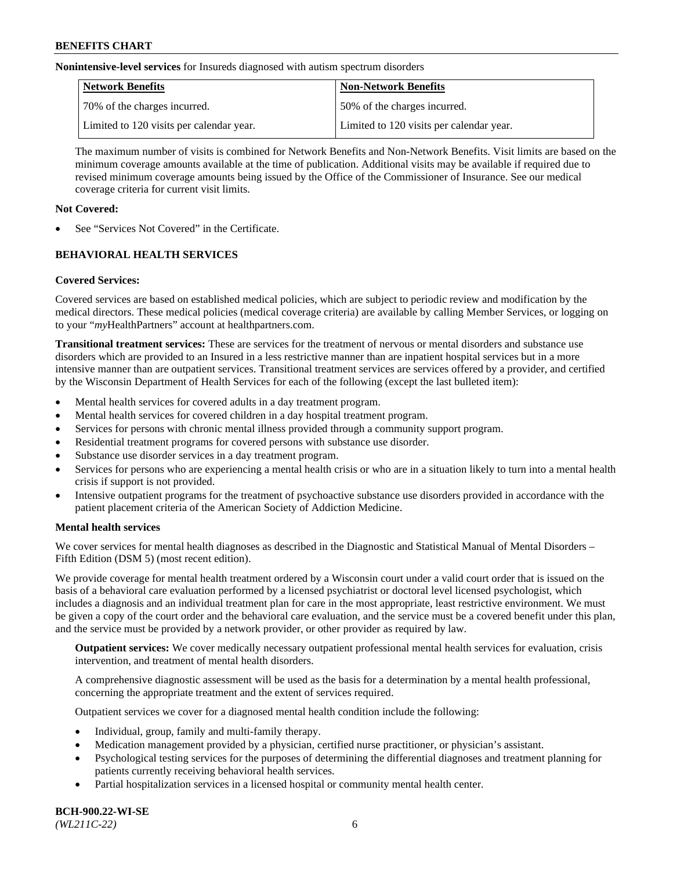**Nonintensive-level services** for Insureds diagnosed with autism spectrum disorders

| Network Benefits                         | <b>Non-Network Benefits</b>              |
|------------------------------------------|------------------------------------------|
| 70% of the charges incurred.             | 50% of the charges incurred.             |
| Limited to 120 visits per calendar year. | Limited to 120 visits per calendar year. |

The maximum number of visits is combined for Network Benefits and Non-Network Benefits. Visit limits are based on the minimum coverage amounts available at the time of publication. Additional visits may be available if required due to revised minimum coverage amounts being issued by the Office of the Commissioner of Insurance. See our medical coverage criteria for current visit limits.

## **Not Covered:**

See "Services Not Covered" in the Certificate.

# **BEHAVIORAL HEALTH SERVICES**

## **Covered Services:**

Covered services are based on established medical policies, which are subject to periodic review and modification by the medical directors. These medical policies (medical coverage criteria) are available by calling Member Services, or logging on to your "*my*HealthPartners" account at [healthpartners.com.](https://www.healthpartners.com/hp/index.html)

**Transitional treatment services:** These are services for the treatment of nervous or mental disorders and substance use disorders which are provided to an Insured in a less restrictive manner than are inpatient hospital services but in a more intensive manner than are outpatient services. Transitional treatment services are services offered by a provider, and certified by the Wisconsin Department of Health Services for each of the following (except the last bulleted item):

- Mental health services for covered adults in a day treatment program.
- Mental health services for covered children in a day hospital treatment program.
- Services for persons with chronic mental illness provided through a community support program.
- Residential treatment programs for covered persons with substance use disorder.
- Substance use disorder services in a day treatment program.
- Services for persons who are experiencing a mental health crisis or who are in a situation likely to turn into a mental health crisis if support is not provided.
- Intensive outpatient programs for the treatment of psychoactive substance use disorders provided in accordance with the patient placement criteria of the American Society of Addiction Medicine.

## **Mental health services**

We cover services for mental health diagnoses as described in the Diagnostic and Statistical Manual of Mental Disorders – Fifth Edition (DSM 5) (most recent edition).

We provide coverage for mental health treatment ordered by a Wisconsin court under a valid court order that is issued on the basis of a behavioral care evaluation performed by a licensed psychiatrist or doctoral level licensed psychologist, which includes a diagnosis and an individual treatment plan for care in the most appropriate, least restrictive environment. We must be given a copy of the court order and the behavioral care evaluation, and the service must be a covered benefit under this plan, and the service must be provided by a network provider, or other provider as required by law.

**Outpatient services:** We cover medically necessary outpatient professional mental health services for evaluation, crisis intervention, and treatment of mental health disorders.

A comprehensive diagnostic assessment will be used as the basis for a determination by a mental health professional, concerning the appropriate treatment and the extent of services required.

Outpatient services we cover for a diagnosed mental health condition include the following:

- Individual, group, family and multi-family therapy.
- Medication management provided by a physician, certified nurse practitioner, or physician's assistant.
- Psychological testing services for the purposes of determining the differential diagnoses and treatment planning for patients currently receiving behavioral health services.
- Partial hospitalization services in a licensed hospital or community mental health center.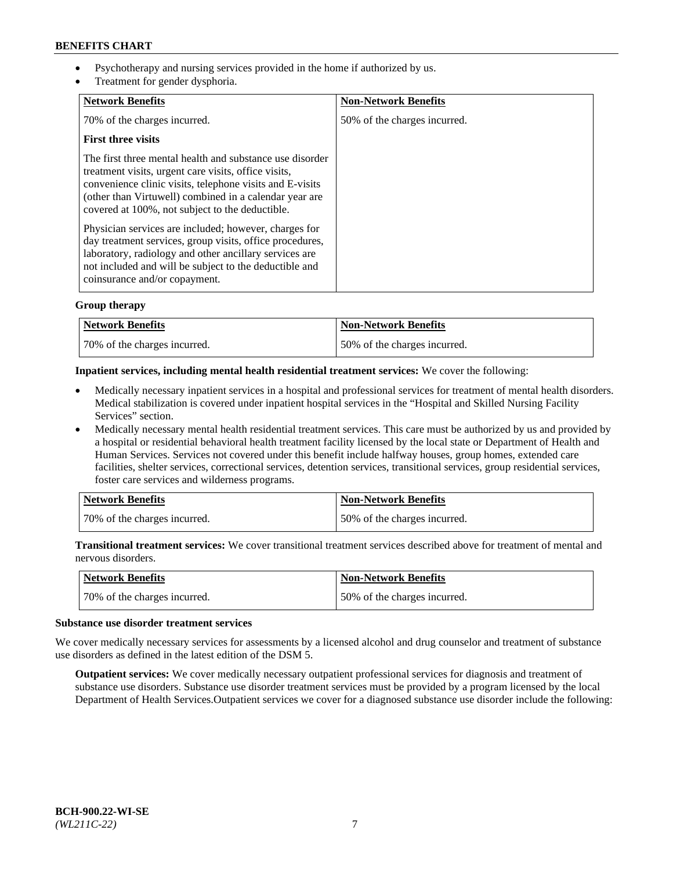- Psychotherapy and nursing services provided in the home if authorized by us.
- Treatment for gender dysphoria.

| <b>Network Benefits</b>                                                                                                                                                                                                                                                                   | <b>Non-Network Benefits</b>  |
|-------------------------------------------------------------------------------------------------------------------------------------------------------------------------------------------------------------------------------------------------------------------------------------------|------------------------------|
| 70% of the charges incurred.                                                                                                                                                                                                                                                              | 50% of the charges incurred. |
| <b>First three visits</b>                                                                                                                                                                                                                                                                 |                              |
| The first three mental health and substance use disorder<br>treatment visits, urgent care visits, office visits,<br>convenience clinic visits, telephone visits and E-visits<br>(other than Virtuwell) combined in a calendar year are<br>covered at 100%, not subject to the deductible. |                              |
| Physician services are included; however, charges for<br>day treatment services, group visits, office procedures,<br>laboratory, radiology and other ancillary services are<br>not included and will be subject to the deductible and<br>coinsurance and/or copayment.                    |                              |

## **Group therapy**

| Network Benefits             | <b>Non-Network Benefits</b>  |
|------------------------------|------------------------------|
| 70% of the charges incurred. | 50% of the charges incurred. |

#### **Inpatient services, including mental health residential treatment services:** We cover the following:

- Medically necessary inpatient services in a hospital and professional services for treatment of mental health disorders. Medical stabilization is covered under inpatient hospital services in the "Hospital and Skilled Nursing Facility Services" section.
- Medically necessary mental health residential treatment services. This care must be authorized by us and provided by a hospital or residential behavioral health treatment facility licensed by the local state or Department of Health and Human Services. Services not covered under this benefit include halfway houses, group homes, extended care facilities, shelter services, correctional services, detention services, transitional services, group residential services, foster care services and wilderness programs.

| Network Benefits             | <b>Non-Network Benefits</b>  |
|------------------------------|------------------------------|
| 70% of the charges incurred. | 50% of the charges incurred. |

**Transitional treatment services:** We cover transitional treatment services described above for treatment of mental and nervous disorders.

| Network Benefits             | Non-Network Benefits         |
|------------------------------|------------------------------|
| 70% of the charges incurred. | 50% of the charges incurred. |

#### **Substance use disorder treatment services**

We cover medically necessary services for assessments by a licensed alcohol and drug counselor and treatment of substance use disorders as defined in the latest edition of the DSM 5.

**Outpatient services:** We cover medically necessary outpatient professional services for diagnosis and treatment of substance use disorders. Substance use disorder treatment services must be provided by a program licensed by the local Department of Health Services.Outpatient services we cover for a diagnosed substance use disorder include the following: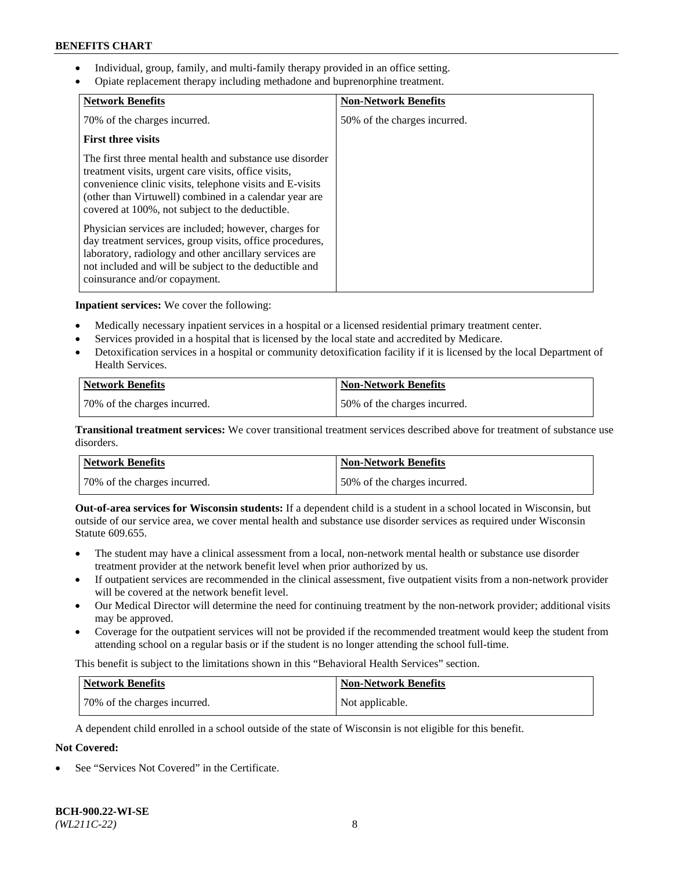- Individual, group, family, and multi-family therapy provided in an office setting.
- Opiate replacement therapy including methadone and buprenorphine treatment.

| <b>Network Benefits</b>                                                                                                                                                                                                                                                                   | <b>Non-Network Benefits</b>  |
|-------------------------------------------------------------------------------------------------------------------------------------------------------------------------------------------------------------------------------------------------------------------------------------------|------------------------------|
| 70% of the charges incurred.                                                                                                                                                                                                                                                              | 50% of the charges incurred. |
| <b>First three visits</b>                                                                                                                                                                                                                                                                 |                              |
| The first three mental health and substance use disorder<br>treatment visits, urgent care visits, office visits,<br>convenience clinic visits, telephone visits and E-visits<br>(other than Virtuwell) combined in a calendar year are<br>covered at 100%, not subject to the deductible. |                              |
| Physician services are included; however, charges for<br>day treatment services, group visits, office procedures,<br>laboratory, radiology and other ancillary services are<br>not included and will be subject to the deductible and<br>coinsurance and/or copayment.                    |                              |

**Inpatient services:** We cover the following:

- Medically necessary inpatient services in a hospital or a licensed residential primary treatment center.
- Services provided in a hospital that is licensed by the local state and accredited by Medicare.
- Detoxification services in a hospital or community detoxification facility if it is licensed by the local Department of Health Services.

| <b>Network Benefits</b>      | <b>Non-Network Benefits</b>  |
|------------------------------|------------------------------|
| 70% of the charges incurred. | 50% of the charges incurred. |

**Transitional treatment services:** We cover transitional treatment services described above for treatment of substance use disorders.

| Network Benefits             | <b>Non-Network Benefits</b>  |
|------------------------------|------------------------------|
| 70% of the charges incurred. | 50% of the charges incurred. |

**Out-of-area services for Wisconsin students:** If a dependent child is a student in a school located in Wisconsin, but outside of our service area, we cover mental health and substance use disorder services as required under Wisconsin Statute 609.655.

- The student may have a clinical assessment from a local, non-network mental health or substance use disorder treatment provider at the network benefit level when prior authorized by us.
- If outpatient services are recommended in the clinical assessment, five outpatient visits from a non-network provider will be covered at the network benefit level.
- Our Medical Director will determine the need for continuing treatment by the non-network provider; additional visits may be approved.
- Coverage for the outpatient services will not be provided if the recommended treatment would keep the student from attending school on a regular basis or if the student is no longer attending the school full-time.

This benefit is subject to the limitations shown in this "Behavioral Health Services" section.

| Network Benefits             | <b>Non-Network Benefits</b> |
|------------------------------|-----------------------------|
| 70% of the charges incurred. | Not applicable.             |

A dependent child enrolled in a school outside of the state of Wisconsin is not eligible for this benefit.

# **Not Covered:**

See "Services Not Covered" in the Certificate.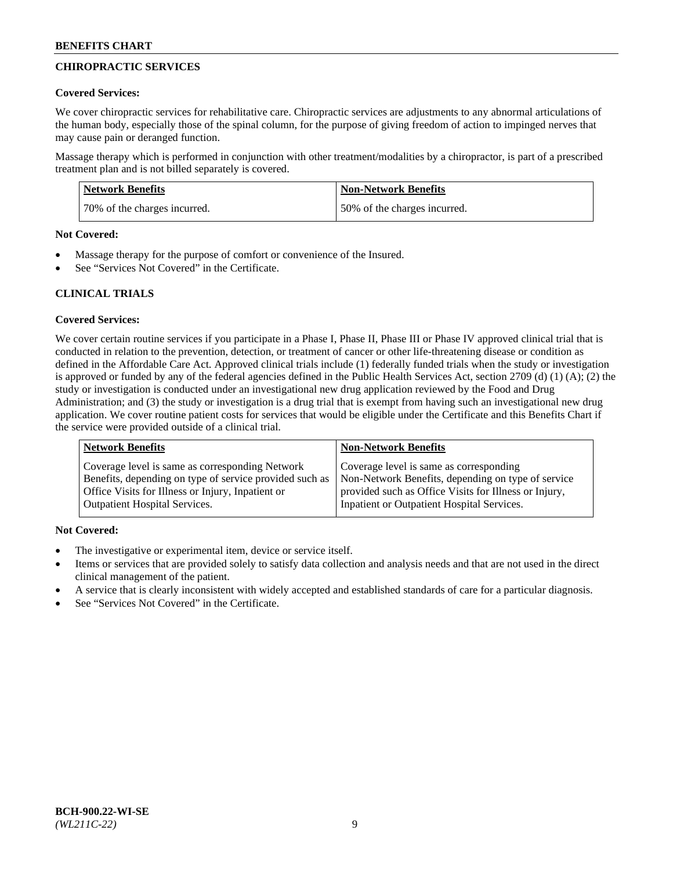# **CHIROPRACTIC SERVICES**

#### **Covered Services:**

We cover chiropractic services for rehabilitative care. Chiropractic services are adjustments to any abnormal articulations of the human body, especially those of the spinal column, for the purpose of giving freedom of action to impinged nerves that may cause pain or deranged function.

Massage therapy which is performed in conjunction with other treatment/modalities by a chiropractor, is part of a prescribed treatment plan and is not billed separately is covered.

| <b>Network Benefits</b>      | Non-Network Benefits         |
|------------------------------|------------------------------|
| 70% of the charges incurred. | 50% of the charges incurred. |

#### **Not Covered:**

- Massage therapy for the purpose of comfort or convenience of the Insured.
- See "Services Not Covered" in the Certificate.

# **CLINICAL TRIALS**

## **Covered Services:**

We cover certain routine services if you participate in a Phase I, Phase II, Phase III or Phase IV approved clinical trial that is conducted in relation to the prevention, detection, or treatment of cancer or other life-threatening disease or condition as defined in the Affordable Care Act. Approved clinical trials include (1) federally funded trials when the study or investigation is approved or funded by any of the federal agencies defined in the Public Health Services Act, section 2709 (d) (1) (A); (2) the study or investigation is conducted under an investigational new drug application reviewed by the Food and Drug Administration; and (3) the study or investigation is a drug trial that is exempt from having such an investigational new drug application. We cover routine patient costs for services that would be eligible under the Certificate and this Benefits Chart if the service were provided outside of a clinical trial.

| <b>Network Benefits</b>                                 | <b>Non-Network Benefits</b>                           |
|---------------------------------------------------------|-------------------------------------------------------|
| Coverage level is same as corresponding Network         | Coverage level is same as corresponding               |
| Benefits, depending on type of service provided such as | Non-Network Benefits, depending on type of service    |
| Office Visits for Illness or Injury, Inpatient or       | provided such as Office Visits for Illness or Injury, |
| Outpatient Hospital Services.                           | Inpatient or Outpatient Hospital Services.            |

## **Not Covered:**

- The investigative or experimental item, device or service itself.
- Items or services that are provided solely to satisfy data collection and analysis needs and that are not used in the direct clinical management of the patient.
- A service that is clearly inconsistent with widely accepted and established standards of care for a particular diagnosis.
- See "Services Not Covered" in the Certificate.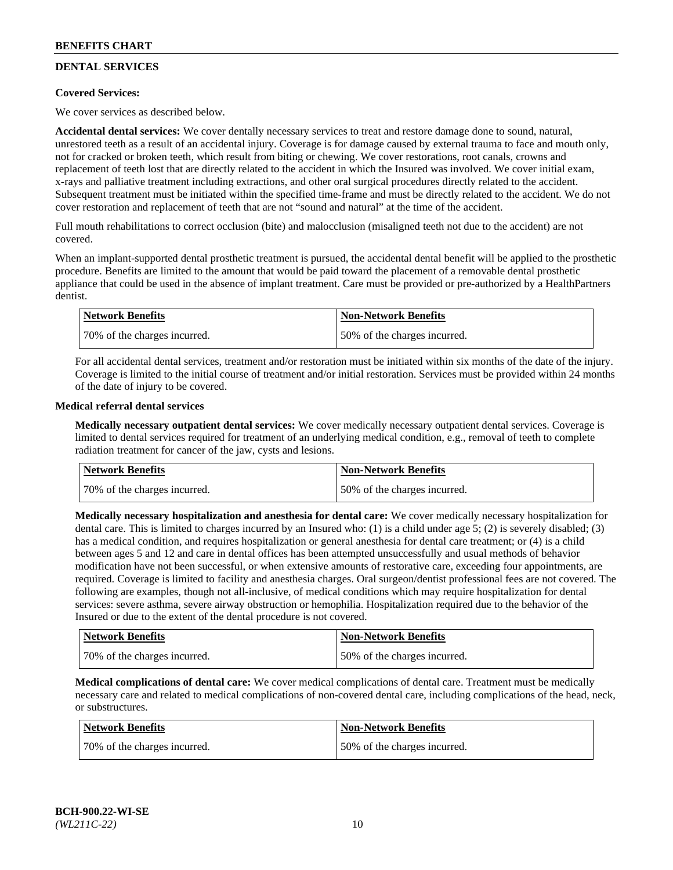# **DENTAL SERVICES**

## **Covered Services:**

We cover services as described below.

**Accidental dental services:** We cover dentally necessary services to treat and restore damage done to sound, natural, unrestored teeth as a result of an accidental injury. Coverage is for damage caused by external trauma to face and mouth only, not for cracked or broken teeth, which result from biting or chewing. We cover restorations, root canals, crowns and replacement of teeth lost that are directly related to the accident in which the Insured was involved. We cover initial exam, x-rays and palliative treatment including extractions, and other oral surgical procedures directly related to the accident. Subsequent treatment must be initiated within the specified time-frame and must be directly related to the accident. We do not cover restoration and replacement of teeth that are not "sound and natural" at the time of the accident.

Full mouth rehabilitations to correct occlusion (bite) and malocclusion (misaligned teeth not due to the accident) are not covered.

When an implant-supported dental prosthetic treatment is pursued, the accidental dental benefit will be applied to the prosthetic procedure. Benefits are limited to the amount that would be paid toward the placement of a removable dental prosthetic appliance that could be used in the absence of implant treatment. Care must be provided or pre-authorized by a HealthPartners dentist.

| Network Benefits              | <b>Non-Network Benefits</b>  |
|-------------------------------|------------------------------|
| 170% of the charges incurred. | 50% of the charges incurred. |

For all accidental dental services, treatment and/or restoration must be initiated within six months of the date of the injury. Coverage is limited to the initial course of treatment and/or initial restoration. Services must be provided within 24 months of the date of injury to be covered.

#### **Medical referral dental services**

**Medically necessary outpatient dental services:** We cover medically necessary outpatient dental services. Coverage is limited to dental services required for treatment of an underlying medical condition, e.g., removal of teeth to complete radiation treatment for cancer of the jaw, cysts and lesions.

| Network Benefits             | <b>Non-Network Benefits</b>  |
|------------------------------|------------------------------|
| 70% of the charges incurred. | 50% of the charges incurred. |

**Medically necessary hospitalization and anesthesia for dental care:** We cover medically necessary hospitalization for dental care. This is limited to charges incurred by an Insured who: (1) is a child under age  $5$ ; (2) is severely disabled; (3) has a medical condition, and requires hospitalization or general anesthesia for dental care treatment; or (4) is a child between ages 5 and 12 and care in dental offices has been attempted unsuccessfully and usual methods of behavior modification have not been successful, or when extensive amounts of restorative care, exceeding four appointments, are required. Coverage is limited to facility and anesthesia charges. Oral surgeon/dentist professional fees are not covered. The following are examples, though not all-inclusive, of medical conditions which may require hospitalization for dental services: severe asthma, severe airway obstruction or hemophilia. Hospitalization required due to the behavior of the Insured or due to the extent of the dental procedure is not covered.

| Network Benefits             | <b>Non-Network Benefits</b>  |
|------------------------------|------------------------------|
| 70% of the charges incurred. | 50% of the charges incurred. |

**Medical complications of dental care:** We cover medical complications of dental care. Treatment must be medically necessary care and related to medical complications of non-covered dental care, including complications of the head, neck, or substructures.

| Network Benefits             | <b>Non-Network Benefits</b>  |
|------------------------------|------------------------------|
| 70% of the charges incurred. | 50% of the charges incurred. |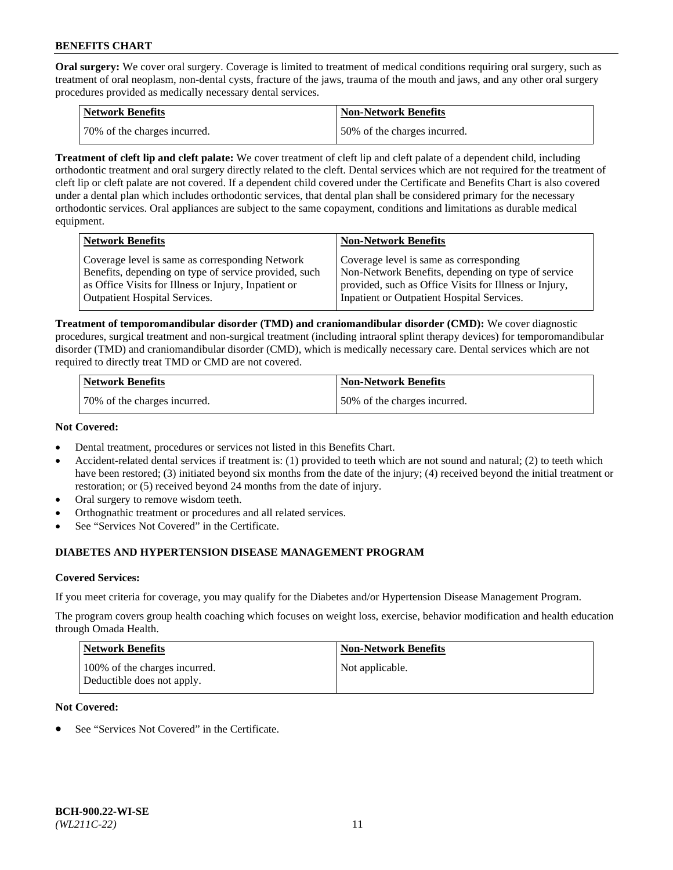**Oral surgery:** We cover oral surgery. Coverage is limited to treatment of medical conditions requiring oral surgery, such as treatment of oral neoplasm, non-dental cysts, fracture of the jaws, trauma of the mouth and jaws, and any other oral surgery procedures provided as medically necessary dental services.

| <b>Network Benefits</b>       | <b>Non-Network Benefits</b>  |
|-------------------------------|------------------------------|
| 170% of the charges incurred. | 50% of the charges incurred. |

**Treatment of cleft lip and cleft palate:** We cover treatment of cleft lip and cleft palate of a dependent child, including orthodontic treatment and oral surgery directly related to the cleft. Dental services which are not required for the treatment of cleft lip or cleft palate are not covered. If a dependent child covered under the Certificate and Benefits Chart is also covered under a dental plan which includes orthodontic services, that dental plan shall be considered primary for the necessary orthodontic services. Oral appliances are subject to the same copayment, conditions and limitations as durable medical equipment.

| <b>Network Benefits</b>                               | <b>Non-Network Benefits</b>                            |
|-------------------------------------------------------|--------------------------------------------------------|
| Coverage level is same as corresponding Network       | Coverage level is same as corresponding                |
| Benefits, depending on type of service provided, such | Non-Network Benefits, depending on type of service     |
| as Office Visits for Illness or Injury, Inpatient or  | provided, such as Office Visits for Illness or Injury, |
| <b>Outpatient Hospital Services.</b>                  | Inpatient or Outpatient Hospital Services.             |

**Treatment of temporomandibular disorder (TMD) and craniomandibular disorder (CMD):** We cover diagnostic procedures, surgical treatment and non-surgical treatment (including intraoral splint therapy devices) for temporomandibular disorder (TMD) and craniomandibular disorder (CMD), which is medically necessary care. Dental services which are not required to directly treat TMD or CMD are not covered.

| <b>Network Benefits</b>      | <b>Non-Network Benefits</b>  |
|------------------------------|------------------------------|
| 70% of the charges incurred. | 50% of the charges incurred. |

#### **Not Covered:**

- Dental treatment, procedures or services not listed in this Benefits Chart.
- Accident-related dental services if treatment is: (1) provided to teeth which are not sound and natural; (2) to teeth which have been restored; (3) initiated beyond six months from the date of the injury; (4) received beyond the initial treatment or restoration; or (5) received beyond 24 months from the date of injury.
- Oral surgery to remove wisdom teeth.
- Orthognathic treatment or procedures and all related services.
- See "Services Not Covered" in the Certificate.

# **DIABETES AND HYPERTENSION DISEASE MANAGEMENT PROGRAM**

## **Covered Services:**

If you meet criteria for coverage, you may qualify for the Diabetes and/or Hypertension Disease Management Program.

The program covers group health coaching which focuses on weight loss, exercise, behavior modification and health education through Omada Health.

| <b>Network Benefits</b>                                     | <b>Non-Network Benefits</b> |
|-------------------------------------------------------------|-----------------------------|
| 100% of the charges incurred.<br>Deductible does not apply. | Not applicable.             |

## **Not Covered:**

See "Services Not Covered" in the Certificate.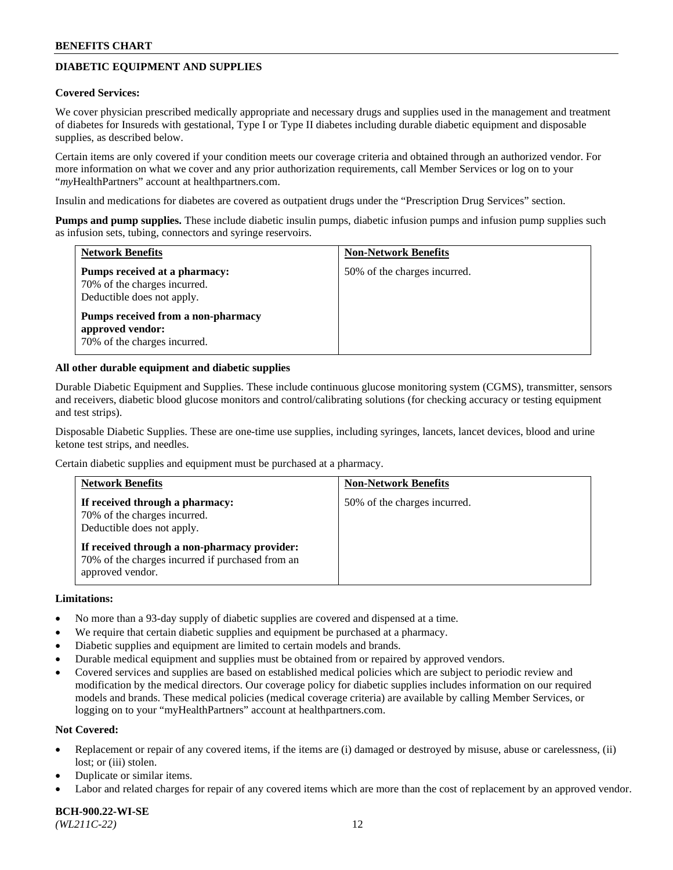# **DIABETIC EQUIPMENT AND SUPPLIES**

#### **Covered Services:**

We cover physician prescribed medically appropriate and necessary drugs and supplies used in the management and treatment of diabetes for Insureds with gestational, Type I or Type II diabetes including durable diabetic equipment and disposable supplies, as described below.

Certain items are only covered if your condition meets our coverage criteria and obtained through an authorized vendor. For more information on what we cover and any prior authorization requirements, call Member Services or log on to your "*my*HealthPartners" account at [healthpartners.com.](http://www.healthpartners.com/)

Insulin and medications for diabetes are covered as outpatient drugs under the "Prescription Drug Services" section.

**Pumps and pump supplies.** These include diabetic insulin pumps, diabetic infusion pumps and infusion pump supplies such as infusion sets, tubing, connectors and syringe reservoirs.

| <b>Network Benefits</b>                                                                     | <b>Non-Network Benefits</b>  |
|---------------------------------------------------------------------------------------------|------------------------------|
| Pumps received at a pharmacy:<br>70% of the charges incurred.<br>Deductible does not apply. | 50% of the charges incurred. |
| Pumps received from a non-pharmacy<br>approved vendor:<br>70% of the charges incurred.      |                              |

#### **All other durable equipment and diabetic supplies**

Durable Diabetic Equipment and Supplies. These include continuous glucose monitoring system (CGMS), transmitter, sensors and receivers, diabetic blood glucose monitors and control/calibrating solutions (for checking accuracy or testing equipment and test strips).

Disposable Diabetic Supplies. These are one-time use supplies, including syringes, lancets, lancet devices, blood and urine ketone test strips, and needles.

Certain diabetic supplies and equipment must be purchased at a pharmacy.

| <b>Network Benefits</b>                                                                                              | <b>Non-Network Benefits</b>  |
|----------------------------------------------------------------------------------------------------------------------|------------------------------|
| If received through a pharmacy:<br>70% of the charges incurred.<br>Deductible does not apply.                        | 50% of the charges incurred. |
| If received through a non-pharmacy provider:<br>70% of the charges incurred if purchased from an<br>approved vendor. |                              |

#### **Limitations:**

- No more than a 93-day supply of diabetic supplies are covered and dispensed at a time.
- We require that certain diabetic supplies and equipment be purchased at a pharmacy.
- Diabetic supplies and equipment are limited to certain models and brands.
- Durable medical equipment and supplies must be obtained from or repaired by approved vendors.
- Covered services and supplies are based on established medical policies which are subject to periodic review and modification by the medical directors. Our coverage policy for diabetic supplies includes information on our required models and brands. These medical policies (medical coverage criteria) are available by calling Member Services, or logging on to your "myHealthPartners" account at [healthpartners.com.](http://www.healthpartners.com/)

#### **Not Covered:**

- Replacement or repair of any covered items, if the items are (i) damaged or destroyed by misuse, abuse or carelessness, (ii) lost; or (iii) stolen.
- Duplicate or similar items.
- Labor and related charges for repair of any covered items which are more than the cost of replacement by an approved vendor.

**BCH-900.22-WI-SE**  *(WL211C-22)* 12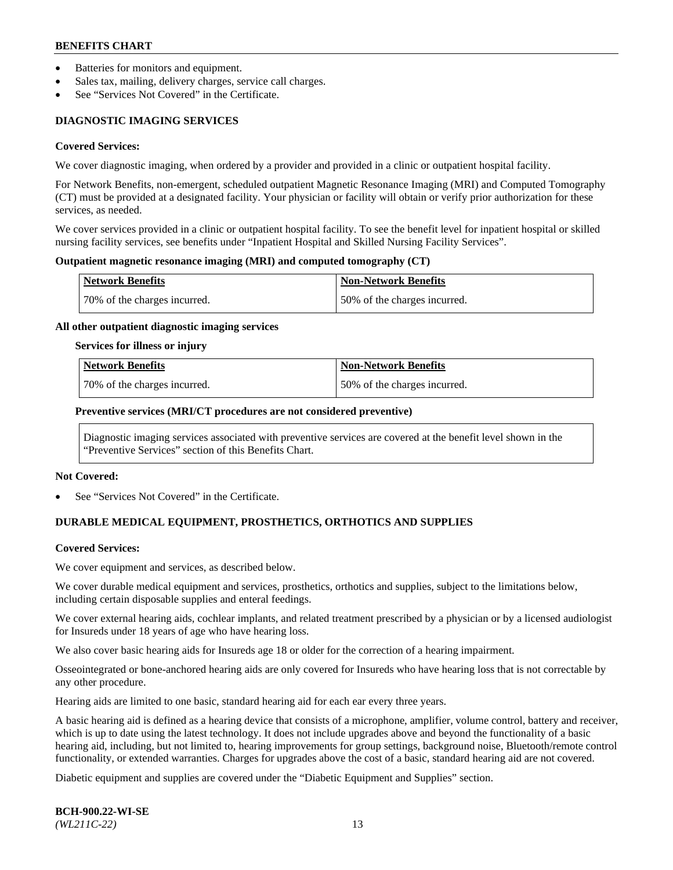- Batteries for monitors and equipment.
- Sales tax, mailing, delivery charges, service call charges.
- See "Services Not Covered" in the Certificate.

# **DIAGNOSTIC IMAGING SERVICES**

#### **Covered Services:**

We cover diagnostic imaging, when ordered by a provider and provided in a clinic or outpatient hospital facility.

For Network Benefits, non-emergent, scheduled outpatient Magnetic Resonance Imaging (MRI) and Computed Tomography (CT) must be provided at a designated facility. Your physician or facility will obtain or verify prior authorization for these services, as needed.

We cover services provided in a clinic or outpatient hospital facility. To see the benefit level for inpatient hospital or skilled nursing facility services, see benefits under "Inpatient Hospital and Skilled Nursing Facility Services".

#### **Outpatient magnetic resonance imaging (MRI) and computed tomography (CT)**

| <b>Network Benefits</b>      | <b>Non-Network Benefits</b>  |
|------------------------------|------------------------------|
| 70% of the charges incurred. | 50% of the charges incurred. |

#### **All other outpatient diagnostic imaging services**

#### **Services for illness or injury**

| Network Benefits             | <b>Non-Network Benefits</b>  |
|------------------------------|------------------------------|
| 70% of the charges incurred. | 50% of the charges incurred. |

#### **Preventive services (MRI/CT procedures are not considered preventive)**

Diagnostic imaging services associated with preventive services are covered at the benefit level shown in the "Preventive Services" section of this Benefits Chart.

#### **Not Covered:**

See "Services Not Covered" in the Certificate.

# **DURABLE MEDICAL EQUIPMENT, PROSTHETICS, ORTHOTICS AND SUPPLIES**

#### **Covered Services:**

We cover equipment and services, as described below.

We cover durable medical equipment and services, prosthetics, orthotics and supplies, subject to the limitations below, including certain disposable supplies and enteral feedings.

We cover external hearing aids, cochlear implants, and related treatment prescribed by a physician or by a licensed audiologist for Insureds under 18 years of age who have hearing loss.

We also cover basic hearing aids for Insureds age 18 or older for the correction of a hearing impairment.

Osseointegrated or bone-anchored hearing aids are only covered for Insureds who have hearing loss that is not correctable by any other procedure.

Hearing aids are limited to one basic, standard hearing aid for each ear every three years.

A basic hearing aid is defined as a hearing device that consists of a microphone, amplifier, volume control, battery and receiver, which is up to date using the latest technology. It does not include upgrades above and beyond the functionality of a basic hearing aid, including, but not limited to, hearing improvements for group settings, background noise, Bluetooth/remote control functionality, or extended warranties. Charges for upgrades above the cost of a basic, standard hearing aid are not covered.

Diabetic equipment and supplies are covered under the "Diabetic Equipment and Supplies" section.

**BCH-900.22-WI-SE**  *(WL211C-22)* 13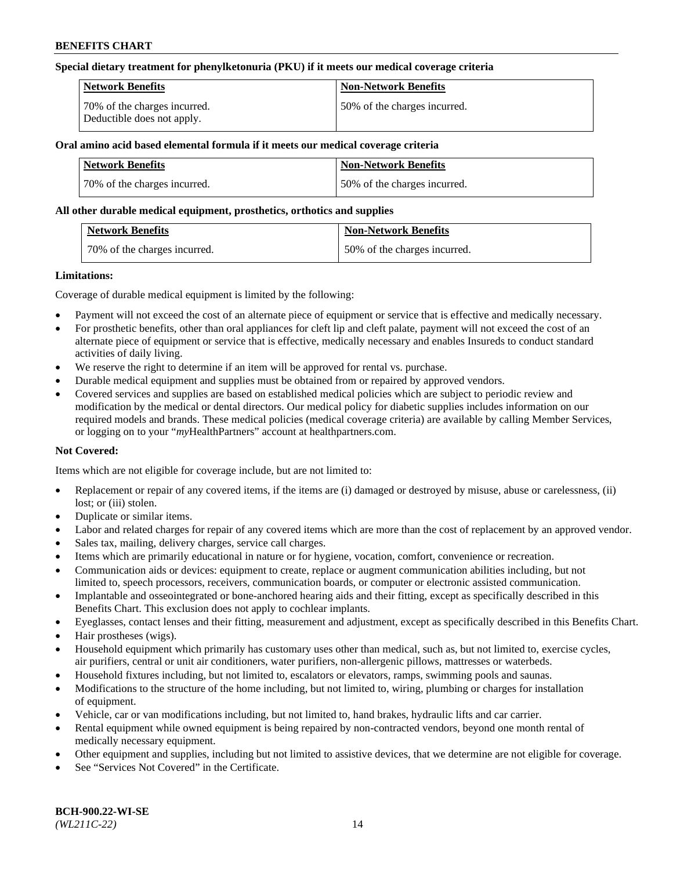#### **Special dietary treatment for phenylketonuria (PKU) if it meets our medical coverage criteria**

| Network Benefits                                           | <b>Non-Network Benefits</b>  |
|------------------------------------------------------------|------------------------------|
| 70% of the charges incurred.<br>Deductible does not apply. | 50% of the charges incurred. |

## **Oral amino acid based elemental formula if it meets our medical coverage criteria**

| Network Benefits             | <b>Non-Network Benefits</b>  |
|------------------------------|------------------------------|
| 70% of the charges incurred. | 50% of the charges incurred. |

#### **All other durable medical equipment, prosthetics, orthotics and supplies**

| <b>Network Benefits</b>      | <b>Non-Network Benefits</b>  |
|------------------------------|------------------------------|
| 70% of the charges incurred. | 50% of the charges incurred. |

#### **Limitations:**

Coverage of durable medical equipment is limited by the following:

- Payment will not exceed the cost of an alternate piece of equipment or service that is effective and medically necessary.
- For prosthetic benefits, other than oral appliances for cleft lip and cleft palate, payment will not exceed the cost of an alternate piece of equipment or service that is effective, medically necessary and enables Insureds to conduct standard activities of daily living.
- We reserve the right to determine if an item will be approved for rental vs. purchase.
- Durable medical equipment and supplies must be obtained from or repaired by approved vendors.
- Covered services and supplies are based on established medical policies which are subject to periodic review and modification by the medical or dental directors. Our medical policy for diabetic supplies includes information on our required models and brands. These medical policies (medical coverage criteria) are available by calling Member Services, or logging on to your "*my*HealthPartners" account a[t healthpartners.com.](http://www.healthpartners.com/)

## **Not Covered:**

Items which are not eligible for coverage include, but are not limited to:

- Replacement or repair of any covered items, if the items are (i) damaged or destroyed by misuse, abuse or carelessness, (ii) lost; or (iii) stolen.
- Duplicate or similar items.
- Labor and related charges for repair of any covered items which are more than the cost of replacement by an approved vendor.
- Sales tax, mailing, delivery charges, service call charges.
- Items which are primarily educational in nature or for hygiene, vocation, comfort, convenience or recreation.
- Communication aids or devices: equipment to create, replace or augment communication abilities including, but not limited to, speech processors, receivers, communication boards, or computer or electronic assisted communication.
- Implantable and osseointegrated or bone-anchored hearing aids and their fitting, except as specifically described in this Benefits Chart. This exclusion does not apply to cochlear implants.
- Eyeglasses, contact lenses and their fitting, measurement and adjustment, except as specifically described in this Benefits Chart.
- Hair prostheses (wigs).
- Household equipment which primarily has customary uses other than medical, such as, but not limited to, exercise cycles, air purifiers, central or unit air conditioners, water purifiers, non-allergenic pillows, mattresses or waterbeds.
- Household fixtures including, but not limited to, escalators or elevators, ramps, swimming pools and saunas.
- Modifications to the structure of the home including, but not limited to, wiring, plumbing or charges for installation of equipment.
- Vehicle, car or van modifications including, but not limited to, hand brakes, hydraulic lifts and car carrier.
- Rental equipment while owned equipment is being repaired by non-contracted vendors, beyond one month rental of medically necessary equipment.
- Other equipment and supplies, including but not limited to assistive devices, that we determine are not eligible for coverage.
- See "Services Not Covered" in the Certificate.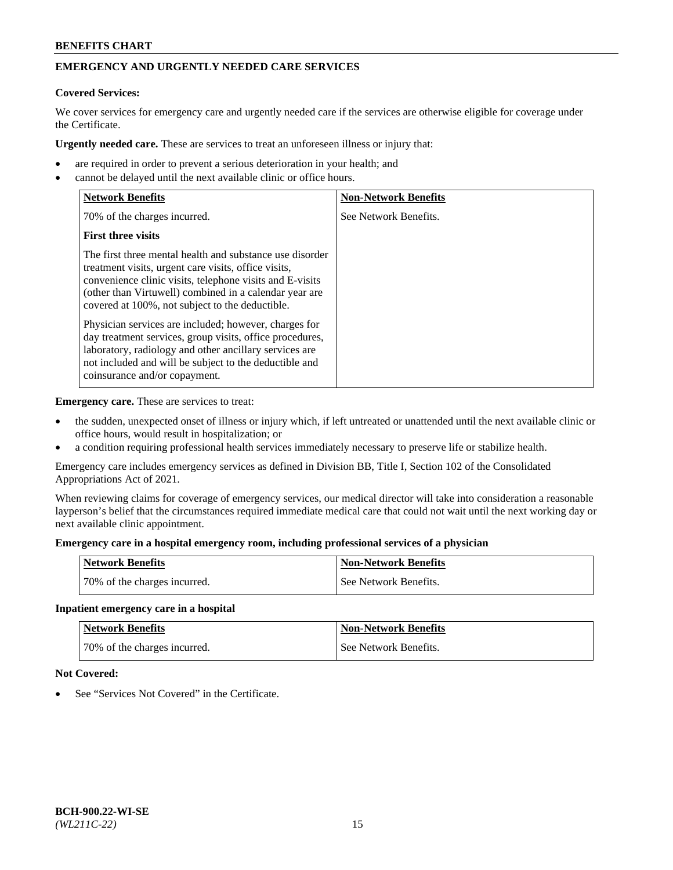# **EMERGENCY AND URGENTLY NEEDED CARE SERVICES**

# **Covered Services:**

We cover services for emergency care and urgently needed care if the services are otherwise eligible for coverage under the Certificate.

**Urgently needed care.** These are services to treat an unforeseen illness or injury that:

- are required in order to prevent a serious deterioration in your health; and
- cannot be delayed until the next available clinic or office hours.

| <b>Network Benefits</b>                                                                                                                                                                                                                                                                   | <b>Non-Network Benefits</b> |
|-------------------------------------------------------------------------------------------------------------------------------------------------------------------------------------------------------------------------------------------------------------------------------------------|-----------------------------|
| 70% of the charges incurred.                                                                                                                                                                                                                                                              | See Network Benefits.       |
| <b>First three visits</b>                                                                                                                                                                                                                                                                 |                             |
| The first three mental health and substance use disorder<br>treatment visits, urgent care visits, office visits,<br>convenience clinic visits, telephone visits and E-visits<br>(other than Virtuwell) combined in a calendar year are<br>covered at 100%, not subject to the deductible. |                             |
| Physician services are included; however, charges for<br>day treatment services, group visits, office procedures,<br>laboratory, radiology and other ancillary services are<br>not included and will be subject to the deductible and<br>coinsurance and/or copayment.                    |                             |

**Emergency care.** These are services to treat:

- the sudden, unexpected onset of illness or injury which, if left untreated or unattended until the next available clinic or office hours, would result in hospitalization; or
- a condition requiring professional health services immediately necessary to preserve life or stabilize health.

Emergency care includes emergency services as defined in Division BB, Title I, Section 102 of the Consolidated Appropriations Act of 2021.

When reviewing claims for coverage of emergency services, our medical director will take into consideration a reasonable layperson's belief that the circumstances required immediate medical care that could not wait until the next working day or next available clinic appointment.

#### **Emergency care in a hospital emergency room, including professional services of a physician**

| <b>Network Benefits</b>      | <b>Non-Network Benefits</b> |
|------------------------------|-----------------------------|
| 70% of the charges incurred. | See Network Benefits.       |

#### **Inpatient emergency care in a hospital**

| <b>Network Benefits</b>      | Non-Network Benefits  |
|------------------------------|-----------------------|
| 70% of the charges incurred. | See Network Benefits. |

## **Not Covered:**

See "Services Not Covered" in the Certificate.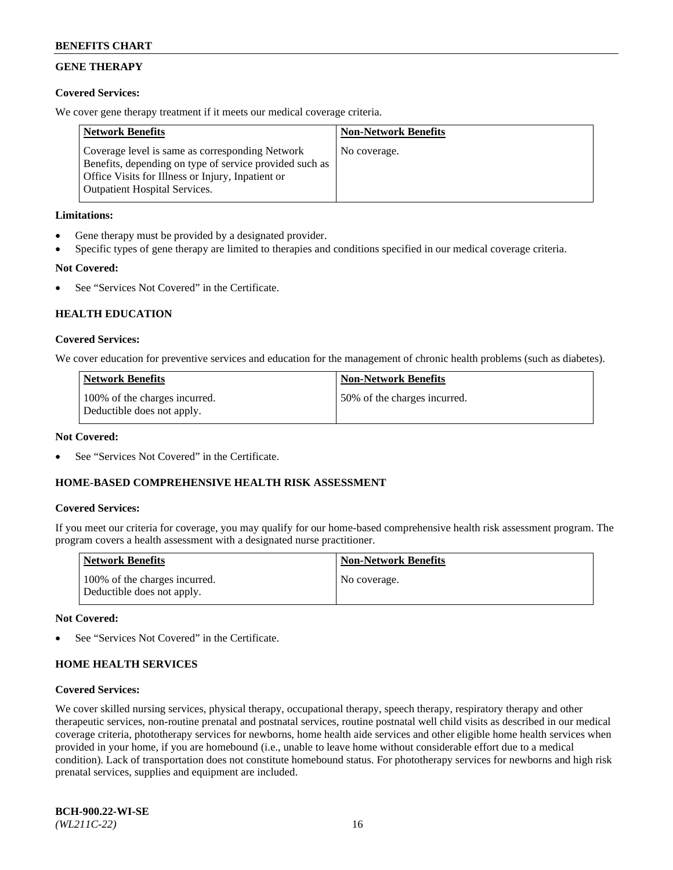# **GENE THERAPY**

## **Covered Services:**

We cover gene therapy treatment if it meets our medical coverage criteria.

| <b>Network Benefits</b>                                                                                                                                                                                 | <b>Non-Network Benefits</b> |
|---------------------------------------------------------------------------------------------------------------------------------------------------------------------------------------------------------|-----------------------------|
| Coverage level is same as corresponding Network<br>Benefits, depending on type of service provided such as<br>Office Visits for Illness or Injury, Inpatient or<br><b>Outpatient Hospital Services.</b> | No coverage.                |

## **Limitations:**

- Gene therapy must be provided by a designated provider.
- Specific types of gene therapy are limited to therapies and conditions specified in our medical coverage criteria.

# **Not Covered:**

See "Services Not Covered" in the Certificate.

# **HEALTH EDUCATION**

## **Covered Services:**

We cover education for preventive services and education for the management of chronic health problems (such as diabetes).

| <b>Network Benefits</b>                                     | <b>Non-Network Benefits</b>  |
|-------------------------------------------------------------|------------------------------|
| 100% of the charges incurred.<br>Deductible does not apply. | 50% of the charges incurred. |

#### **Not Covered:**

See "Services Not Covered" in the Certificate.

## **HOME-BASED COMPREHENSIVE HEALTH RISK ASSESSMENT**

## **Covered Services:**

If you meet our criteria for coverage, you may qualify for our home-based comprehensive health risk assessment program. The program covers a health assessment with a designated nurse practitioner.

| <b>Network Benefits</b>                                     | <b>Non-Network Benefits</b> |
|-------------------------------------------------------------|-----------------------------|
| 100% of the charges incurred.<br>Deductible does not apply. | No coverage.                |

## **Not Covered:**

See "Services Not Covered" in the Certificate.

## **HOME HEALTH SERVICES**

#### **Covered Services:**

We cover skilled nursing services, physical therapy, occupational therapy, speech therapy, respiratory therapy and other therapeutic services, non-routine prenatal and postnatal services, routine postnatal well child visits as described in our medical coverage criteria, phototherapy services for newborns, home health aide services and other eligible home health services when provided in your home, if you are homebound (i.e., unable to leave home without considerable effort due to a medical condition). Lack of transportation does not constitute homebound status. For phototherapy services for newborns and high risk prenatal services, supplies and equipment are included.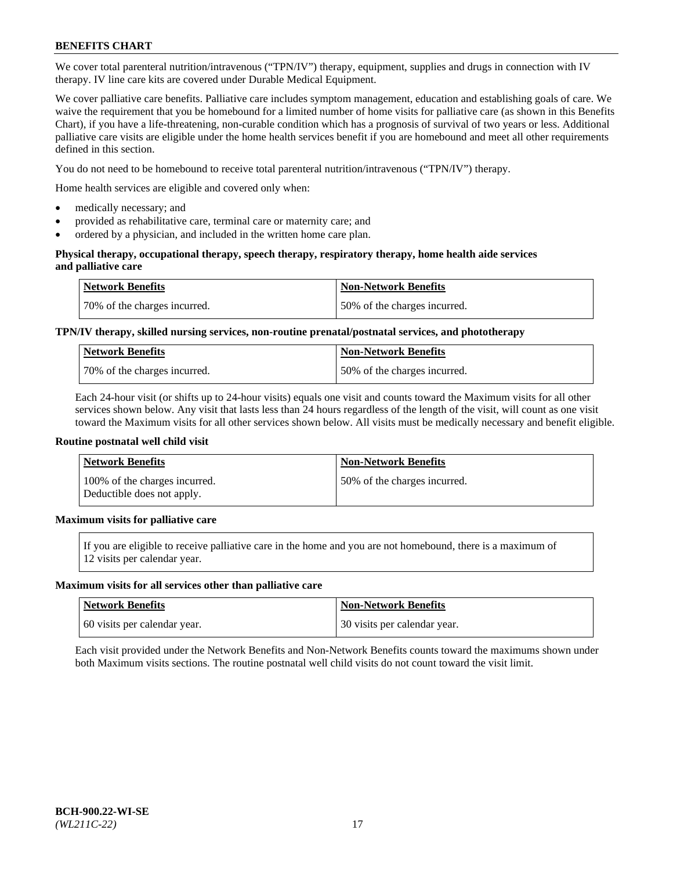We cover total parenteral nutrition/intravenous ("TPN/IV") therapy, equipment, supplies and drugs in connection with IV therapy. IV line care kits are covered under Durable Medical Equipment.

We cover palliative care benefits. Palliative care includes symptom management, education and establishing goals of care. We waive the requirement that you be homebound for a limited number of home visits for palliative care (as shown in this Benefits Chart), if you have a life-threatening, non-curable condition which has a prognosis of survival of two years or less. Additional palliative care visits are eligible under the home health services benefit if you are homebound and meet all other requirements defined in this section.

You do not need to be homebound to receive total parenteral nutrition/intravenous ("TPN/IV") therapy.

Home health services are eligible and covered only when:

- medically necessary; and
- provided as rehabilitative care, terminal care or maternity care; and
- ordered by a physician, and included in the written home care plan.

#### **Physical therapy, occupational therapy, speech therapy, respiratory therapy, home health aide services and palliative care**

| <b>Network Benefits</b>      | <b>Non-Network Benefits</b>  |
|------------------------------|------------------------------|
| 70% of the charges incurred. | 50% of the charges incurred. |

# **TPN/IV therapy, skilled nursing services, non-routine prenatal/postnatal services, and phototherapy**

| <b>Network Benefits</b>      | Non-Network Benefits         |
|------------------------------|------------------------------|
| 70% of the charges incurred. | 50% of the charges incurred. |

Each 24-hour visit (or shifts up to 24-hour visits) equals one visit and counts toward the Maximum visits for all other services shown below. Any visit that lasts less than 24 hours regardless of the length of the visit, will count as one visit toward the Maximum visits for all other services shown below. All visits must be medically necessary and benefit eligible.

#### **Routine postnatal well child visit**

| <b>Network Benefits</b>                                     | <b>Non-Network Benefits</b>  |
|-------------------------------------------------------------|------------------------------|
| 100% of the charges incurred.<br>Deductible does not apply. | 50% of the charges incurred. |

# **Maximum visits for palliative care**

If you are eligible to receive palliative care in the home and you are not homebound, there is a maximum of 12 visits per calendar year.

#### **Maximum visits for all services other than palliative care**

| Network Benefits             | <b>Non-Network Benefits</b>    |
|------------------------------|--------------------------------|
| 60 visits per calendar year. | 1 30 visits per calendar year. |

Each visit provided under the Network Benefits and Non-Network Benefits counts toward the maximums shown under both Maximum visits sections. The routine postnatal well child visits do not count toward the visit limit.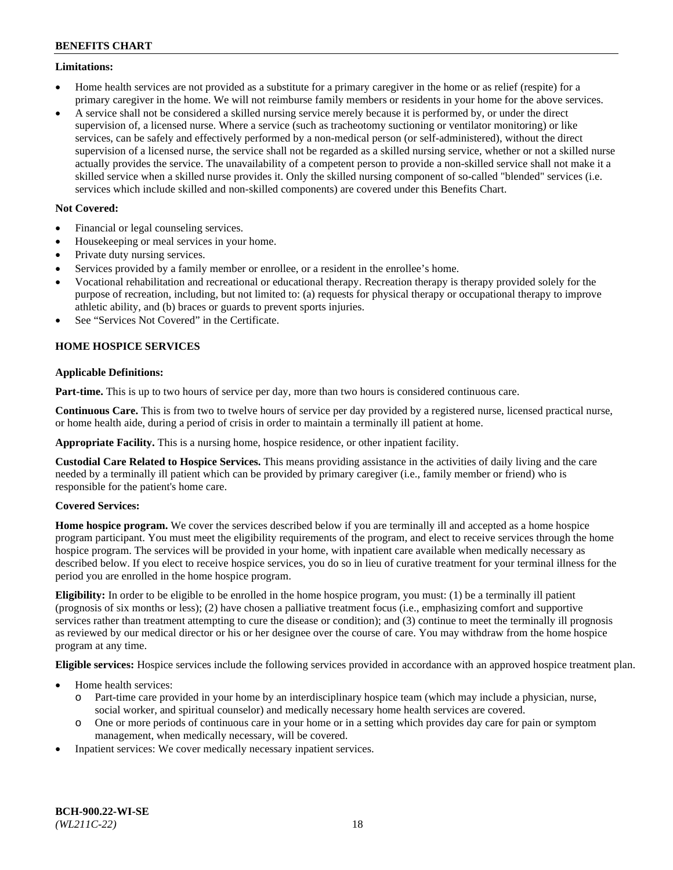## **Limitations:**

- Home health services are not provided as a substitute for a primary caregiver in the home or as relief (respite) for a primary caregiver in the home. We will not reimburse family members or residents in your home for the above services.
- A service shall not be considered a skilled nursing service merely because it is performed by, or under the direct supervision of, a licensed nurse. Where a service (such as tracheotomy suctioning or ventilator monitoring) or like services, can be safely and effectively performed by a non-medical person (or self-administered), without the direct supervision of a licensed nurse, the service shall not be regarded as a skilled nursing service, whether or not a skilled nurse actually provides the service. The unavailability of a competent person to provide a non-skilled service shall not make it a skilled service when a skilled nurse provides it. Only the skilled nursing component of so-called "blended" services (i.e. services which include skilled and non-skilled components) are covered under this Benefits Chart.

## **Not Covered:**

- Financial or legal counseling services.
- Housekeeping or meal services in your home.
- Private duty nursing services.
- Services provided by a family member or enrollee, or a resident in the enrollee's home.
- Vocational rehabilitation and recreational or educational therapy. Recreation therapy is therapy provided solely for the purpose of recreation, including, but not limited to: (a) requests for physical therapy or occupational therapy to improve athletic ability, and (b) braces or guards to prevent sports injuries.
- See "Services Not Covered" in the Certificate.

# **HOME HOSPICE SERVICES**

## **Applicable Definitions:**

**Part-time.** This is up to two hours of service per day, more than two hours is considered continuous care.

**Continuous Care.** This is from two to twelve hours of service per day provided by a registered nurse, licensed practical nurse, or home health aide, during a period of crisis in order to maintain a terminally ill patient at home.

**Appropriate Facility.** This is a nursing home, hospice residence, or other inpatient facility.

**Custodial Care Related to Hospice Services.** This means providing assistance in the activities of daily living and the care needed by a terminally ill patient which can be provided by primary caregiver (i.e., family member or friend) who is responsible for the patient's home care.

## **Covered Services:**

**Home hospice program.** We cover the services described below if you are terminally ill and accepted as a home hospice program participant. You must meet the eligibility requirements of the program, and elect to receive services through the home hospice program. The services will be provided in your home, with inpatient care available when medically necessary as described below. If you elect to receive hospice services, you do so in lieu of curative treatment for your terminal illness for the period you are enrolled in the home hospice program.

**Eligibility:** In order to be eligible to be enrolled in the home hospice program, you must: (1) be a terminally ill patient (prognosis of six months or less); (2) have chosen a palliative treatment focus (i.e., emphasizing comfort and supportive services rather than treatment attempting to cure the disease or condition); and (3) continue to meet the terminally ill prognosis as reviewed by our medical director or his or her designee over the course of care. You may withdraw from the home hospice program at any time.

**Eligible services:** Hospice services include the following services provided in accordance with an approved hospice treatment plan.

- Home health services:
	- o Part-time care provided in your home by an interdisciplinary hospice team (which may include a physician, nurse, social worker, and spiritual counselor) and medically necessary home health services are covered.
	- o One or more periods of continuous care in your home or in a setting which provides day care for pain or symptom management, when medically necessary, will be covered.
- Inpatient services: We cover medically necessary inpatient services.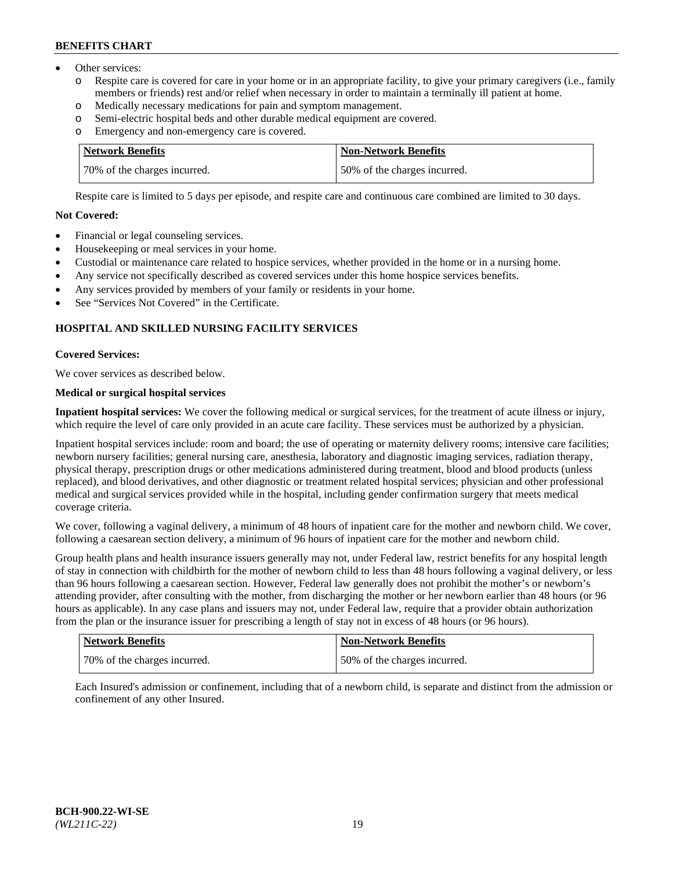- Other services:
	- o Respite care is covered for care in your home or in an appropriate facility, to give your primary caregivers (i.e., family members or friends) rest and/or relief when necessary in order to maintain a terminally ill patient at home.
	- o Medically necessary medications for pain and symptom management.
	- o Semi-electric hospital beds and other durable medical equipment are covered.
	- Emergency and non-emergency care is covered.

| Network Benefits             | Non-Network Benefits         |
|------------------------------|------------------------------|
| 70% of the charges incurred. | 50% of the charges incurred. |

Respite care is limited to 5 days per episode, and respite care and continuous care combined are limited to 30 days.

# **Not Covered:**

- Financial or legal counseling services.
- Housekeeping or meal services in your home.
- Custodial or maintenance care related to hospice services, whether provided in the home or in a nursing home.
- Any service not specifically described as covered services under this home hospice services benefits.
- Any services provided by members of your family or residents in your home.
- See "Services Not Covered" in the Certificate.

## **HOSPITAL AND SKILLED NURSING FACILITY SERVICES**

#### **Covered Services:**

We cover services as described below.

# **Medical or surgical hospital services**

**Inpatient hospital services:** We cover the following medical or surgical services, for the treatment of acute illness or injury, which require the level of care only provided in an acute care facility. These services must be authorized by a physician.

Inpatient hospital services include: room and board; the use of operating or maternity delivery rooms; intensive care facilities; newborn nursery facilities; general nursing care, anesthesia, laboratory and diagnostic imaging services, radiation therapy, physical therapy, prescription drugs or other medications administered during treatment, blood and blood products (unless replaced), and blood derivatives, and other diagnostic or treatment related hospital services; physician and other professional medical and surgical services provided while in the hospital, including gender confirmation surgery that meets medical coverage criteria.

We cover, following a vaginal delivery, a minimum of 48 hours of inpatient care for the mother and newborn child. We cover, following a caesarean section delivery, a minimum of 96 hours of inpatient care for the mother and newborn child.

Group health plans and health insurance issuers generally may not, under Federal law, restrict benefits for any hospital length of stay in connection with childbirth for the mother of newborn child to less than 48 hours following a vaginal delivery, or less than 96 hours following a caesarean section. However, Federal law generally does not prohibit the mother's or newborn's attending provider, after consulting with the mother, from discharging the mother or her newborn earlier than 48 hours (or 96 hours as applicable). In any case plans and issuers may not, under Federal law, require that a provider obtain authorization from the plan or the insurance issuer for prescribing a length of stay not in excess of 48 hours (or 96 hours).

| Network Benefits             | <b>Non-Network Benefits</b>  |
|------------------------------|------------------------------|
| 70% of the charges incurred. | 50% of the charges incurred. |

Each Insured's admission or confinement, including that of a newborn child, is separate and distinct from the admission or confinement of any other Insured.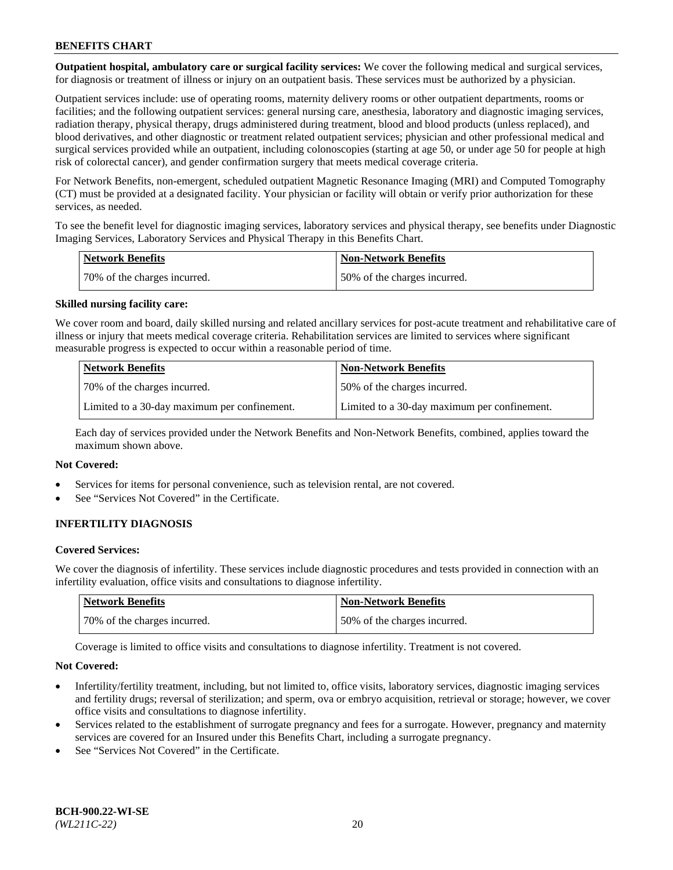**Outpatient hospital, ambulatory care or surgical facility services:** We cover the following medical and surgical services, for diagnosis or treatment of illness or injury on an outpatient basis. These services must be authorized by a physician.

Outpatient services include: use of operating rooms, maternity delivery rooms or other outpatient departments, rooms or facilities; and the following outpatient services: general nursing care, anesthesia, laboratory and diagnostic imaging services, radiation therapy, physical therapy, drugs administered during treatment, blood and blood products (unless replaced), and blood derivatives, and other diagnostic or treatment related outpatient services; physician and other professional medical and surgical services provided while an outpatient, including colonoscopies (starting at age 50, or under age 50 for people at high risk of colorectal cancer), and gender confirmation surgery that meets medical coverage criteria.

For Network Benefits, non-emergent, scheduled outpatient Magnetic Resonance Imaging (MRI) and Computed Tomography (CT) must be provided at a designated facility. Your physician or facility will obtain or verify prior authorization for these services, as needed.

To see the benefit level for diagnostic imaging services, laboratory services and physical therapy, see benefits under Diagnostic Imaging Services, Laboratory Services and Physical Therapy in this Benefits Chart.

| <b>Network Benefits</b>       | <b>Non-Network Benefits</b>  |
|-------------------------------|------------------------------|
| 170% of the charges incurred. | 50% of the charges incurred. |

#### **Skilled nursing facility care:**

We cover room and board, daily skilled nursing and related ancillary services for post-acute treatment and rehabilitative care of illness or injury that meets medical coverage criteria. Rehabilitation services are limited to services where significant measurable progress is expected to occur within a reasonable period of time.

| <b>Network Benefits</b> |                                              | <b>Non-Network Benefits</b>                  |
|-------------------------|----------------------------------------------|----------------------------------------------|
|                         | 70\% of the charges incurred.                | 50% of the charges incurred.                 |
|                         | Limited to a 30-day maximum per confinement. | Limited to a 30-day maximum per confinement. |

Each day of services provided under the Network Benefits and Non-Network Benefits, combined, applies toward the maximum shown above.

#### **Not Covered:**

- Services for items for personal convenience, such as television rental, are not covered.
- See "Services Not Covered" in the Certificate.

## **INFERTILITY DIAGNOSIS**

#### **Covered Services:**

We cover the diagnosis of infertility. These services include diagnostic procedures and tests provided in connection with an infertility evaluation, office visits and consultations to diagnose infertility.

| Network Benefits             | <b>Non-Network Benefits</b>  |
|------------------------------|------------------------------|
| 70% of the charges incurred. | 50% of the charges incurred. |

Coverage is limited to office visits and consultations to diagnose infertility. Treatment is not covered.

#### **Not Covered:**

- Infertility/fertility treatment, including, but not limited to, office visits, laboratory services, diagnostic imaging services and fertility drugs; reversal of sterilization; and sperm, ova or embryo acquisition, retrieval or storage; however, we cover office visits and consultations to diagnose infertility.
- Services related to the establishment of surrogate pregnancy and fees for a surrogate. However, pregnancy and maternity services are covered for an Insured under this Benefits Chart, including a surrogate pregnancy.
- See "Services Not Covered" in the Certificate.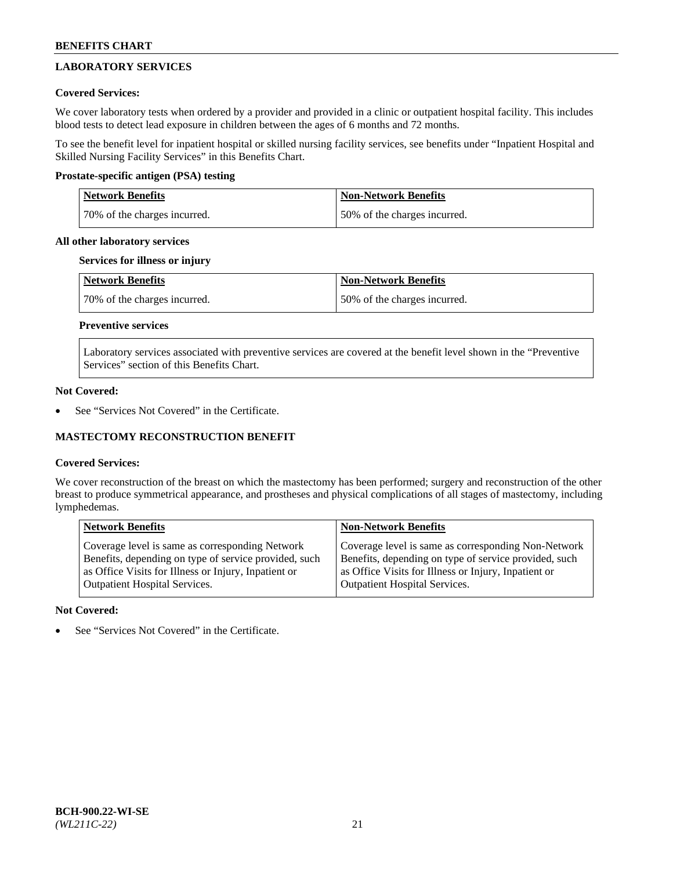# **LABORATORY SERVICES**

## **Covered Services:**

We cover laboratory tests when ordered by a provider and provided in a clinic or outpatient hospital facility. This includes blood tests to detect lead exposure in children between the ages of 6 months and 72 months.

To see the benefit level for inpatient hospital or skilled nursing facility services, see benefits under "Inpatient Hospital and Skilled Nursing Facility Services" in this Benefits Chart.

## **Prostate-specific antigen (PSA) testing**

| <b>Network Benefits</b>      | <b>Non-Network Benefits</b>  |
|------------------------------|------------------------------|
| 70% of the charges incurred. | 50% of the charges incurred. |

## **All other laboratory services**

## **Services for illness or injury**

| Network Benefits             | <b>Non-Network Benefits</b>  |
|------------------------------|------------------------------|
| 70% of the charges incurred. | 50% of the charges incurred. |

# **Preventive services**

Laboratory services associated with preventive services are covered at the benefit level shown in the "Preventive Services" section of this Benefits Chart.

#### **Not Covered:**

See "Services Not Covered" in the Certificate.

## **MASTECTOMY RECONSTRUCTION BENEFIT**

## **Covered Services:**

We cover reconstruction of the breast on which the mastectomy has been performed; surgery and reconstruction of the other breast to produce symmetrical appearance, and prostheses and physical complications of all stages of mastectomy, including lymphedemas.

| <b>Network Benefits</b>                               | <b>Non-Network Benefits</b>                           |
|-------------------------------------------------------|-------------------------------------------------------|
| Coverage level is same as corresponding Network       | Coverage level is same as corresponding Non-Network   |
| Benefits, depending on type of service provided, such | Benefits, depending on type of service provided, such |
| as Office Visits for Illness or Injury, Inpatient or  | as Office Visits for Illness or Injury, Inpatient or  |
| <b>Outpatient Hospital Services.</b>                  | <b>Outpatient Hospital Services.</b>                  |

## **Not Covered:**

See "Services Not Covered" in the Certificate.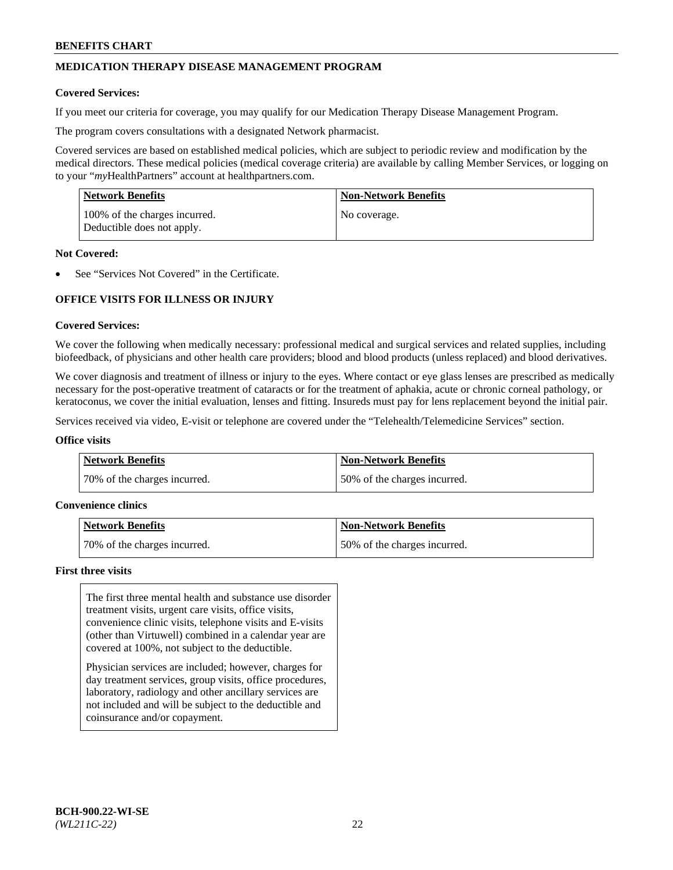# **MEDICATION THERAPY DISEASE MANAGEMENT PROGRAM**

#### **Covered Services:**

If you meet our criteria for coverage, you may qualify for our Medication Therapy Disease Management Program.

The program covers consultations with a designated Network pharmacist.

Covered services are based on established medical policies, which are subject to periodic review and modification by the medical directors. These medical policies (medical coverage criteria) are available by calling Member Services, or logging on to your "*my*HealthPartners" account at [healthpartners.com.](http://www.healthpartners.com/)

| <b>Network Benefits</b>                                     | <b>Non-Network Benefits</b> |
|-------------------------------------------------------------|-----------------------------|
| 100% of the charges incurred.<br>Deductible does not apply. | No coverage.                |

#### **Not Covered:**

See "Services Not Covered" in the Certificate.

# **OFFICE VISITS FOR ILLNESS OR INJURY**

#### **Covered Services:**

We cover the following when medically necessary: professional medical and surgical services and related supplies, including biofeedback, of physicians and other health care providers; blood and blood products (unless replaced) and blood derivatives.

We cover diagnosis and treatment of illness or injury to the eyes. Where contact or eye glass lenses are prescribed as medically necessary for the post-operative treatment of cataracts or for the treatment of aphakia, acute or chronic corneal pathology, or keratoconus, we cover the initial evaluation, lenses and fitting. Insureds must pay for lens replacement beyond the initial pair.

Services received via video, E-visit or telephone are covered under the "Telehealth/Telemedicine Services" section.

#### **Office visits**

| <b>Network Benefits</b>      | <b>Non-Network Benefits</b>  |
|------------------------------|------------------------------|
| 70% of the charges incurred. | 50% of the charges incurred. |

#### **Convenience clinics**

| Network Benefits             | <b>Non-Network Benefits</b>  |
|------------------------------|------------------------------|
| 70% of the charges incurred. | 50% of the charges incurred. |

#### **First three visits**

The first three mental health and substance use disorder treatment visits, urgent care visits, office visits, convenience clinic visits, telephone visits and E-visits (other than Virtuwell) combined in a calendar year are covered at 100%, not subject to the deductible.

Physician services are included; however, charges for day treatment services, group visits, office procedures, laboratory, radiology and other ancillary services are not included and will be subject to the deductible and coinsurance and/or copayment.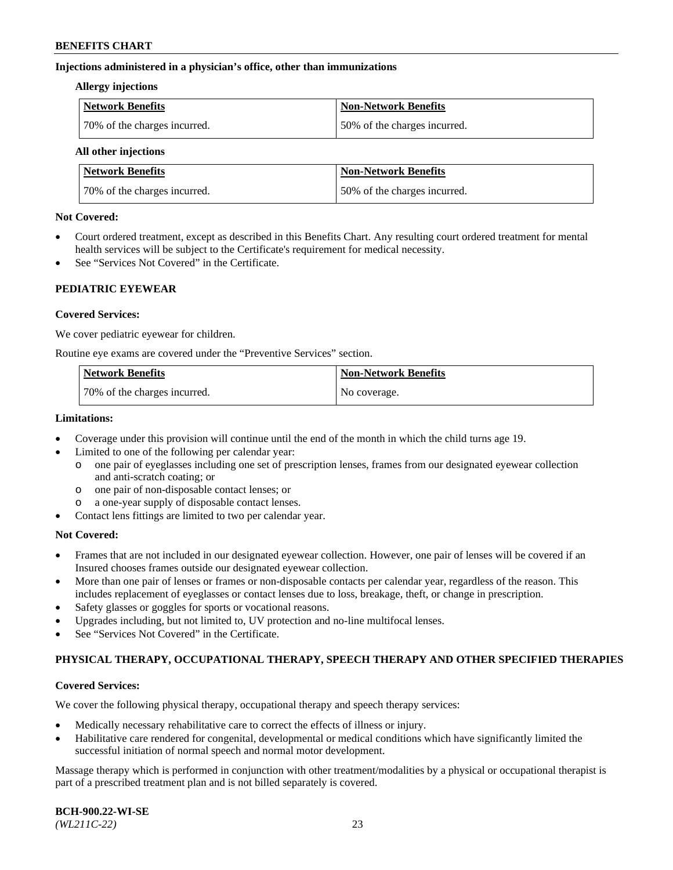#### **Injections administered in a physician's office, other than immunizations**

#### **Allergy injections**

| <b>Network Benefits</b>      | Non-Network Benefits         |
|------------------------------|------------------------------|
| 70% of the charges incurred. | 50% of the charges incurred. |

#### **All other injections**

| <b>Network Benefits</b>      | <b>Non-Network Benefits</b>  |
|------------------------------|------------------------------|
| 70% of the charges incurred. | 50% of the charges incurred. |

#### **Not Covered:**

- Court ordered treatment, except as described in this Benefits Chart. Any resulting court ordered treatment for mental health services will be subject to the Certificate's requirement for medical necessity.
- See "Services Not Covered" in the Certificate.

## **PEDIATRIC EYEWEAR**

#### **Covered Services:**

We cover pediatric eyewear for children.

Routine eye exams are covered under the "Preventive Services" section.

| <b>Network Benefits</b>      | <b>Non-Network Benefits</b> |
|------------------------------|-----------------------------|
| 70% of the charges incurred. | No coverage.                |

#### **Limitations:**

- Coverage under this provision will continue until the end of the month in which the child turns age 19.
- Limited to one of the following per calendar year:
	- o one pair of eyeglasses including one set of prescription lenses, frames from our designated eyewear collection and anti-scratch coating; or
	- o one pair of non-disposable contact lenses; or
	- o a one-year supply of disposable contact lenses.
- Contact lens fittings are limited to two per calendar year.

## **Not Covered:**

- Frames that are not included in our designated eyewear collection. However, one pair of lenses will be covered if an Insured chooses frames outside our designated eyewear collection.
- More than one pair of lenses or frames or non-disposable contacts per calendar year, regardless of the reason. This includes replacement of eyeglasses or contact lenses due to loss, breakage, theft, or change in prescription.
- Safety glasses or goggles for sports or vocational reasons.
- Upgrades including, but not limited to, UV protection and no-line multifocal lenses.
- See "Services Not Covered" in the Certificate.

## **PHYSICAL THERAPY, OCCUPATIONAL THERAPY, SPEECH THERAPY AND OTHER SPECIFIED THERAPIES**

## **Covered Services:**

We cover the following physical therapy, occupational therapy and speech therapy services:

- Medically necessary rehabilitative care to correct the effects of illness or injury.
- Habilitative care rendered for congenital, developmental or medical conditions which have significantly limited the successful initiation of normal speech and normal motor development.

Massage therapy which is performed in conjunction with other treatment/modalities by a physical or occupational therapist is part of a prescribed treatment plan and is not billed separately is covered.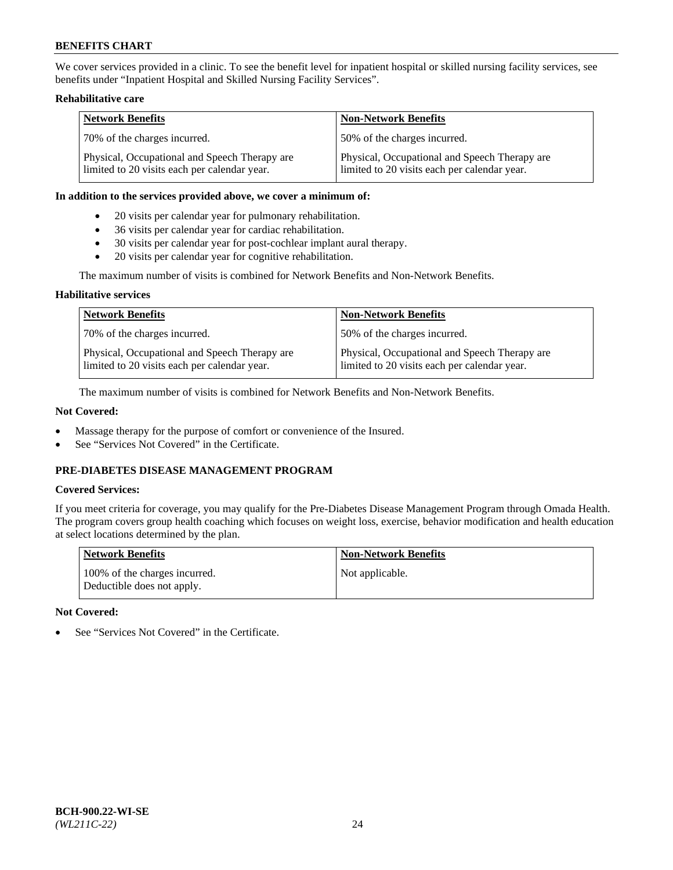We cover services provided in a clinic. To see the benefit level for inpatient hospital or skilled nursing facility services, see benefits under "Inpatient Hospital and Skilled Nursing Facility Services".

## **Rehabilitative care**

| <b>Network Benefits</b>                                                                       | <b>Non-Network Benefits</b>                                                                   |
|-----------------------------------------------------------------------------------------------|-----------------------------------------------------------------------------------------------|
| 70% of the charges incurred.                                                                  | 50% of the charges incurred.                                                                  |
| Physical, Occupational and Speech Therapy are<br>limited to 20 visits each per calendar year. | Physical, Occupational and Speech Therapy are<br>limited to 20 visits each per calendar year. |

#### **In addition to the services provided above, we cover a minimum of:**

- 20 visits per calendar year for pulmonary rehabilitation.
- 36 visits per calendar year for cardiac rehabilitation.
- 30 visits per calendar year for post-cochlear implant aural therapy.
- 20 visits per calendar year for cognitive rehabilitation.

The maximum number of visits is combined for Network Benefits and Non-Network Benefits.

## **Habilitative services**

| <b>Network Benefits</b>                                                                       | <b>Non-Network Benefits</b>                                                                   |
|-----------------------------------------------------------------------------------------------|-----------------------------------------------------------------------------------------------|
| 70% of the charges incurred.                                                                  | 50% of the charges incurred.                                                                  |
| Physical, Occupational and Speech Therapy are<br>limited to 20 visits each per calendar year. | Physical, Occupational and Speech Therapy are<br>limited to 20 visits each per calendar year. |

The maximum number of visits is combined for Network Benefits and Non-Network Benefits.

## **Not Covered:**

- Massage therapy for the purpose of comfort or convenience of the Insured.
- See "Services Not Covered" in the Certificate.

# **PRE-DIABETES DISEASE MANAGEMENT PROGRAM**

## **Covered Services:**

If you meet criteria for coverage, you may qualify for the Pre-Diabetes Disease Management Program through Omada Health. The program covers group health coaching which focuses on weight loss, exercise, behavior modification and health education at select locations determined by the plan.

| <b>Network Benefits</b>                                     | <b>Non-Network Benefits</b> |
|-------------------------------------------------------------|-----------------------------|
| 100% of the charges incurred.<br>Deductible does not apply. | Not applicable.             |

## **Not Covered:**

See "Services Not Covered" in the Certificate.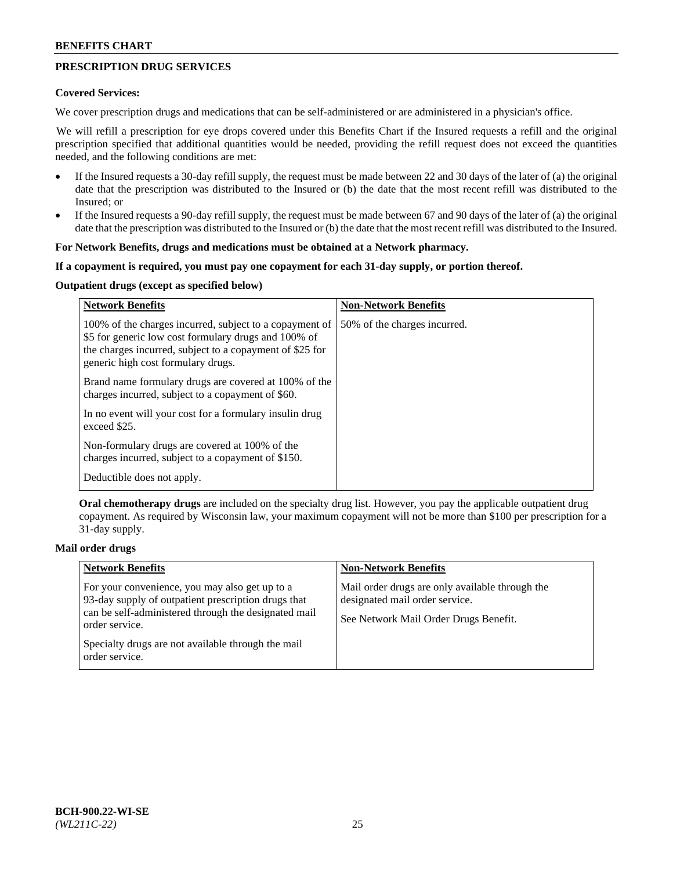# **PRESCRIPTION DRUG SERVICES**

#### **Covered Services:**

We cover prescription drugs and medications that can be self-administered or are administered in a physician's office.

We will refill a prescription for eye drops covered under this Benefits Chart if the Insured requests a refill and the original prescription specified that additional quantities would be needed, providing the refill request does not exceed the quantities needed, and the following conditions are met:

- If the Insured requests a 30-day refill supply, the request must be made between 22 and 30 days of the later of (a) the original date that the prescription was distributed to the Insured or (b) the date that the most recent refill was distributed to the Insured; or
- If the Insured requests a 90-day refill supply, the request must be made between 67 and 90 days of the later of (a) the original date that the prescription was distributed to the Insured or (b) the date that the most recent refill was distributed to the Insured.

#### **For Network Benefits, drugs and medications must be obtained at a Network pharmacy.**

#### **If a copayment is required, you must pay one copayment for each 31-day supply, or portion thereof.**

# **Outpatient drugs (except as specified below)**

| <b>Network Benefits</b>                                                                                                                                                                                           | <b>Non-Network Benefits</b>  |
|-------------------------------------------------------------------------------------------------------------------------------------------------------------------------------------------------------------------|------------------------------|
| 100% of the charges incurred, subject to a copayment of<br>\$5 for generic low cost formulary drugs and 100% of<br>the charges incurred, subject to a copayment of \$25 for<br>generic high cost formulary drugs. | 50% of the charges incurred. |
| Brand name formulary drugs are covered at 100% of the<br>charges incurred, subject to a copayment of \$60.                                                                                                        |                              |
| In no event will your cost for a formulary insulin drug<br>exceed \$25.                                                                                                                                           |                              |
| Non-formulary drugs are covered at 100% of the<br>charges incurred, subject to a copayment of \$150.                                                                                                              |                              |
| Deductible does not apply.                                                                                                                                                                                        |                              |

**Oral chemotherapy drugs** are included on the specialty drug list. However, you pay the applicable outpatient drug copayment. As required by Wisconsin law, your maximum copayment will not be more than \$100 per prescription for a 31-day supply.

## **Mail order drugs**

| <b>Network Benefits</b>                                                                                                                                                         | <b>Non-Network Benefits</b>                                                                                                |
|---------------------------------------------------------------------------------------------------------------------------------------------------------------------------------|----------------------------------------------------------------------------------------------------------------------------|
| For your convenience, you may also get up to a<br>93-day supply of outpatient prescription drugs that<br>can be self-administered through the designated mail<br>order service. | Mail order drugs are only available through the<br>designated mail order service.<br>See Network Mail Order Drugs Benefit. |
| Specialty drugs are not available through the mail<br>order service.                                                                                                            |                                                                                                                            |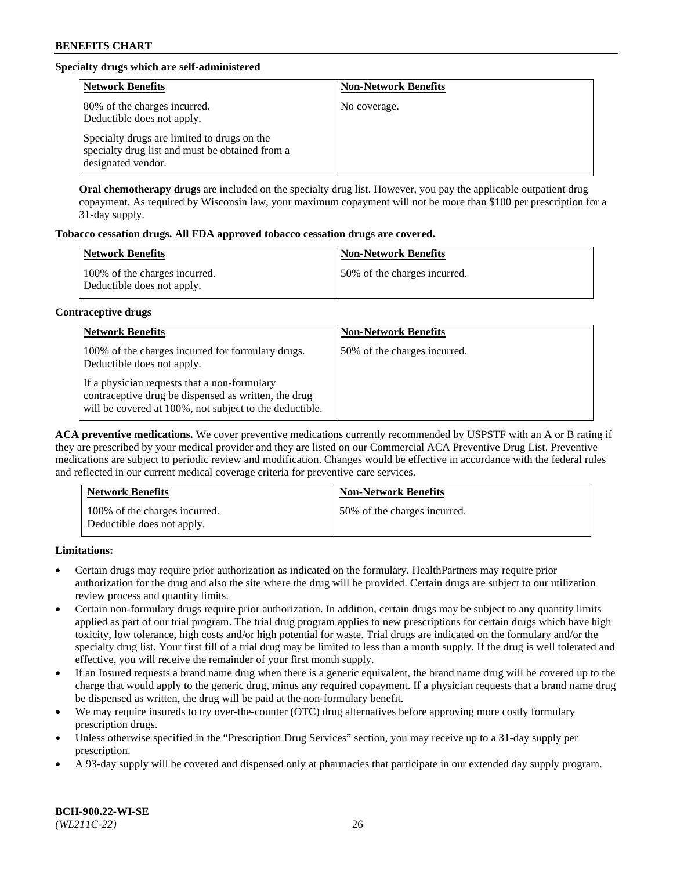# **Specialty drugs which are self-administered**

| <b>Network Benefits</b>                                                                                              | <b>Non-Network Benefits</b> |
|----------------------------------------------------------------------------------------------------------------------|-----------------------------|
| 80% of the charges incurred.<br>Deductible does not apply.                                                           | No coverage.                |
| Specialty drugs are limited to drugs on the<br>specialty drug list and must be obtained from a<br>designated vendor. |                             |

**Oral chemotherapy drugs** are included on the specialty drug list. However, you pay the applicable outpatient drug copayment. As required by Wisconsin law, your maximum copayment will not be more than \$100 per prescription for a 31-day supply.

## **Tobacco cessation drugs. All FDA approved tobacco cessation drugs are covered.**

| <b>Network Benefits</b>                                     | <b>Non-Network Benefits</b>  |
|-------------------------------------------------------------|------------------------------|
| 100% of the charges incurred.<br>Deductible does not apply. | 50% of the charges incurred. |

## **Contraceptive drugs**

| <b>Network Benefits</b>                                                                                                                                         | <b>Non-Network Benefits</b>  |
|-----------------------------------------------------------------------------------------------------------------------------------------------------------------|------------------------------|
| 100% of the charges incurred for formulary drugs.<br>Deductible does not apply.                                                                                 | 50% of the charges incurred. |
| If a physician requests that a non-formulary<br>contraceptive drug be dispensed as written, the drug<br>will be covered at 100%, not subject to the deductible. |                              |

**ACA preventive medications.** We cover preventive medications currently recommended by USPSTF with an A or B rating if they are prescribed by your medical provider and they are listed on our Commercial ACA Preventive Drug List. Preventive medications are subject to periodic review and modification. Changes would be effective in accordance with the federal rules and reflected in our current medical coverage criteria for preventive care services.

| <b>Network Benefits</b>                                     | <b>Non-Network Benefits</b>  |
|-------------------------------------------------------------|------------------------------|
| 100% of the charges incurred.<br>Deductible does not apply. | 50% of the charges incurred. |

**Limitations:**

- Certain drugs may require prior authorization as indicated on the formulary. HealthPartners may require prior authorization for the drug and also the site where the drug will be provided. Certain drugs are subject to our utilization review process and quantity limits.
- Certain non-formulary drugs require prior authorization. In addition, certain drugs may be subject to any quantity limits applied as part of our trial program. The trial drug program applies to new prescriptions for certain drugs which have high toxicity, low tolerance, high costs and/or high potential for waste. Trial drugs are indicated on the formulary and/or the specialty drug list. Your first fill of a trial drug may be limited to less than a month supply. If the drug is well tolerated and effective, you will receive the remainder of your first month supply.
- If an Insured requests a brand name drug when there is a generic equivalent, the brand name drug will be covered up to the charge that would apply to the generic drug, minus any required copayment. If a physician requests that a brand name drug be dispensed as written, the drug will be paid at the non-formulary benefit.
- We may require insureds to try over-the-counter (OTC) drug alternatives before approving more costly formulary prescription drugs.
- Unless otherwise specified in the "Prescription Drug Services" section, you may receive up to a 31-day supply per prescription.
- A 93-day supply will be covered and dispensed only at pharmacies that participate in our extended day supply program.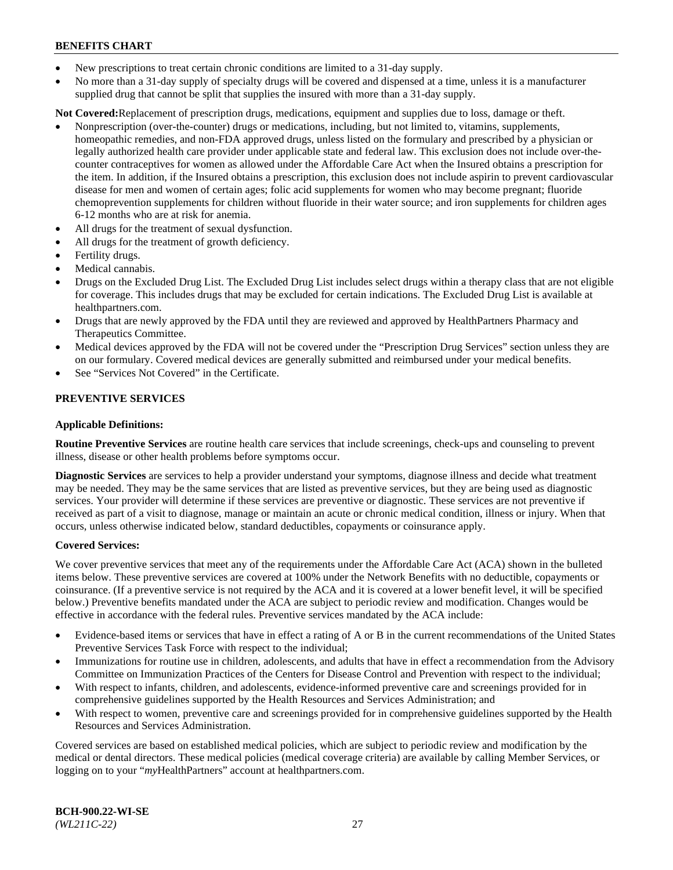- New prescriptions to treat certain chronic conditions are limited to a 31-day supply.
- No more than a 31-day supply of specialty drugs will be covered and dispensed at a time, unless it is a manufacturer supplied drug that cannot be split that supplies the insured with more than a 31-day supply.

**Not Covered:**Replacement of prescription drugs, medications, equipment and supplies due to loss, damage or theft.

- Nonprescription (over-the-counter) drugs or medications, including, but not limited to, vitamins, supplements, homeopathic remedies, and non-FDA approved drugs, unless listed on the formulary and prescribed by a physician or legally authorized health care provider under applicable state and federal law. This exclusion does not include over-thecounter contraceptives for women as allowed under the Affordable Care Act when the Insured obtains a prescription for the item. In addition, if the Insured obtains a prescription, this exclusion does not include aspirin to prevent cardiovascular disease for men and women of certain ages; folic acid supplements for women who may become pregnant; fluoride chemoprevention supplements for children without fluoride in their water source; and iron supplements for children ages 6-12 months who are at risk for anemia.
- All drugs for the treatment of sexual dysfunction.
- All drugs for the treatment of growth deficiency.
- Fertility drugs.
- Medical cannabis.
- Drugs on the Excluded Drug List. The Excluded Drug List includes select drugs within a therapy class that are not eligible for coverage. This includes drugs that may be excluded for certain indications. The Excluded Drug List is available at [healthpartners.com.](http://www.healthpartners.com/)
- Drugs that are newly approved by the FDA until they are reviewed and approved by HealthPartners Pharmacy and Therapeutics Committee.
- Medical devices approved by the FDA will not be covered under the "Prescription Drug Services" section unless they are on our formulary. Covered medical devices are generally submitted and reimbursed under your medical benefits.
- See "Services Not Covered" in the Certificate.

## **PREVENTIVE SERVICES**

#### **Applicable Definitions:**

**Routine Preventive Services** are routine health care services that include screenings, check-ups and counseling to prevent illness, disease or other health problems before symptoms occur.

**Diagnostic Services** are services to help a provider understand your symptoms, diagnose illness and decide what treatment may be needed. They may be the same services that are listed as preventive services, but they are being used as diagnostic services. Your provider will determine if these services are preventive or diagnostic. These services are not preventive if received as part of a visit to diagnose, manage or maintain an acute or chronic medical condition, illness or injury. When that occurs, unless otherwise indicated below, standard deductibles, copayments or coinsurance apply.

#### **Covered Services:**

We cover preventive services that meet any of the requirements under the Affordable Care Act (ACA) shown in the bulleted items below. These preventive services are covered at 100% under the Network Benefits with no deductible, copayments or coinsurance. (If a preventive service is not required by the ACA and it is covered at a lower benefit level, it will be specified below.) Preventive benefits mandated under the ACA are subject to periodic review and modification. Changes would be effective in accordance with the federal rules. Preventive services mandated by the ACA include:

- Evidence-based items or services that have in effect a rating of A or B in the current recommendations of the United States Preventive Services Task Force with respect to the individual;
- Immunizations for routine use in children, adolescents, and adults that have in effect a recommendation from the Advisory Committee on Immunization Practices of the Centers for Disease Control and Prevention with respect to the individual;
- With respect to infants, children, and adolescents, evidence-informed preventive care and screenings provided for in comprehensive guidelines supported by the Health Resources and Services Administration; and
- With respect to women, preventive care and screenings provided for in comprehensive guidelines supported by the Health Resources and Services Administration.

Covered services are based on established medical policies, which are subject to periodic review and modification by the medical or dental directors. These medical policies (medical coverage criteria) are available by calling Member Services, or logging on to your "*my*HealthPartners" account at [healthpartners.com.](https://www.healthpartners.com/hp/index.html)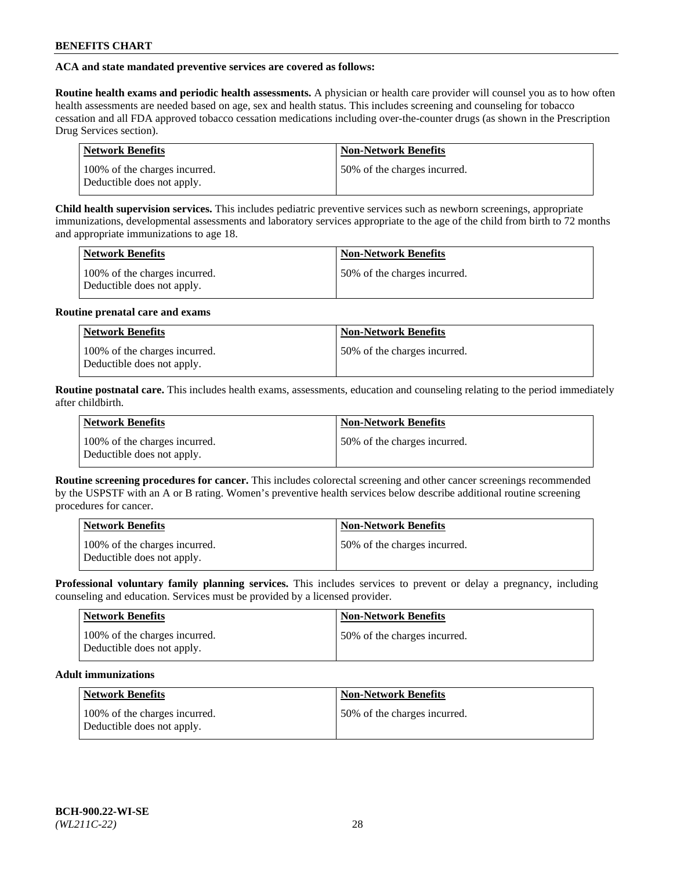## **ACA and state mandated preventive services are covered as follows:**

**Routine health exams and periodic health assessments.** A physician or health care provider will counsel you as to how often health assessments are needed based on age, sex and health status. This includes screening and counseling for tobacco cessation and all FDA approved tobacco cessation medications including over-the-counter drugs (as shown in the Prescription Drug Services section).

| <b>Network Benefits</b>                                     | <b>Non-Network Benefits</b>   |
|-------------------------------------------------------------|-------------------------------|
| 100% of the charges incurred.<br>Deductible does not apply. | 150% of the charges incurred. |

**Child health supervision services.** This includes pediatric preventive services such as newborn screenings, appropriate immunizations, developmental assessments and laboratory services appropriate to the age of the child from birth to 72 months and appropriate immunizations to age 18.

| <b>Network Benefits</b>                                     | <b>Non-Network Benefits</b>  |
|-------------------------------------------------------------|------------------------------|
| 100% of the charges incurred.<br>Deductible does not apply. | 50% of the charges incurred. |

## **Routine prenatal care and exams**

| Network Benefits                                            | <b>Non-Network Benefits</b>   |
|-------------------------------------------------------------|-------------------------------|
| 100% of the charges incurred.<br>Deductible does not apply. | 150% of the charges incurred. |

**Routine postnatal care.** This includes health exams, assessments, education and counseling relating to the period immediately after childbirth.

| <b>Network Benefits</b>                                     | <b>Non-Network Benefits</b>  |
|-------------------------------------------------------------|------------------------------|
| 100% of the charges incurred.<br>Deductible does not apply. | 50% of the charges incurred. |

**Routine screening procedures for cancer.** This includes colorectal screening and other cancer screenings recommended by the USPSTF with an A or B rating. Women's preventive health services below describe additional routine screening procedures for cancer.

| <b>Network Benefits</b>                                     | <b>Non-Network Benefits</b>   |
|-------------------------------------------------------------|-------------------------------|
| 100% of the charges incurred.<br>Deductible does not apply. | 150% of the charges incurred. |

**Professional voluntary family planning services.** This includes services to prevent or delay a pregnancy, including counseling and education. Services must be provided by a licensed provider.

| <b>Network Benefits</b>                                     | <b>Non-Network Benefits</b>  |
|-------------------------------------------------------------|------------------------------|
| 100% of the charges incurred.<br>Deductible does not apply. | 50% of the charges incurred. |

# **Adult immunizations**

| Network Benefits                                            | <b>Non-Network Benefits</b>  |
|-------------------------------------------------------------|------------------------------|
| 100% of the charges incurred.<br>Deductible does not apply. | 50% of the charges incurred. |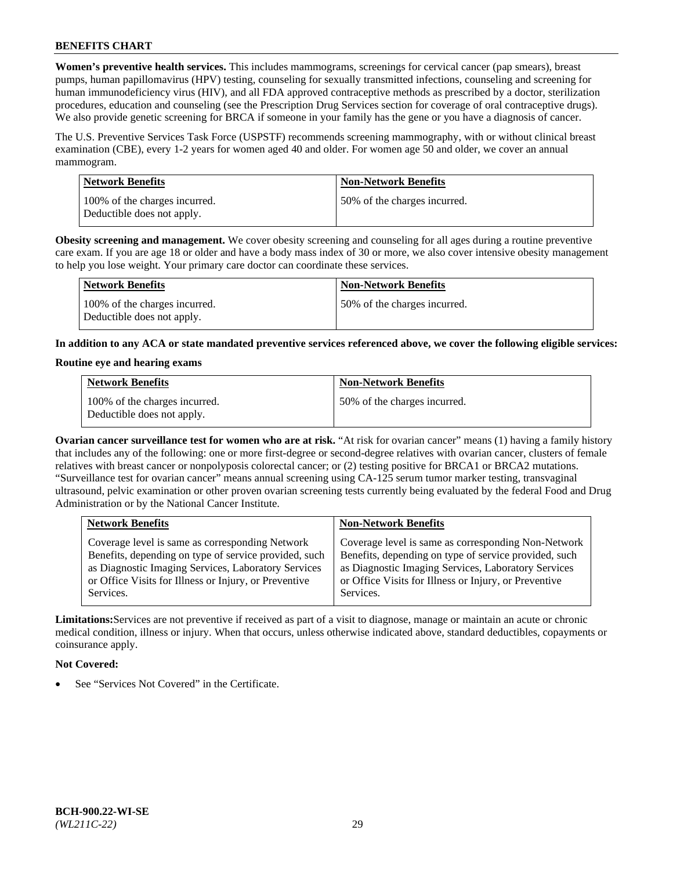**Women's preventive health services.** This includes mammograms, screenings for cervical cancer (pap smears), breast pumps, human papillomavirus (HPV) testing, counseling for sexually transmitted infections, counseling and screening for human immunodeficiency virus (HIV), and all FDA approved contraceptive methods as prescribed by a doctor, sterilization procedures, education and counseling (see the Prescription Drug Services section for coverage of oral contraceptive drugs). We also provide genetic screening for BRCA if someone in your family has the gene or you have a diagnosis of cancer.

The U.S. Preventive Services Task Force (USPSTF) recommends screening mammography, with or without clinical breast examination (CBE), every 1-2 years for women aged 40 and older. For women age 50 and older, we cover an annual mammogram.

| <b>Network Benefits</b>                                     | <b>Non-Network Benefits</b>  |
|-------------------------------------------------------------|------------------------------|
| 100% of the charges incurred.<br>Deductible does not apply. | 50% of the charges incurred. |

**Obesity screening and management.** We cover obesity screening and counseling for all ages during a routine preventive care exam. If you are age 18 or older and have a body mass index of 30 or more, we also cover intensive obesity management to help you lose weight. Your primary care doctor can coordinate these services.

| Network Benefits                                            | <b>Non-Network Benefits</b>  |
|-------------------------------------------------------------|------------------------------|
| 100% of the charges incurred.<br>Deductible does not apply. | 50% of the charges incurred. |

**In addition to any ACA or state mandated preventive services referenced above, we cover the following eligible services:**

#### **Routine eye and hearing exams**

| <b>Network Benefits</b>                                     | <b>Non-Network Benefits</b>  |
|-------------------------------------------------------------|------------------------------|
| 100% of the charges incurred.<br>Deductible does not apply. | 50% of the charges incurred. |

**Ovarian cancer surveillance test for women who are at risk.** "At risk for ovarian cancer" means (1) having a family history that includes any of the following: one or more first-degree or second-degree relatives with ovarian cancer, clusters of female relatives with breast cancer or nonpolyposis colorectal cancer; or (2) testing positive for BRCA1 or BRCA2 mutations. "Surveillance test for ovarian cancer" means annual screening using CA-125 serum tumor marker testing, transvaginal ultrasound, pelvic examination or other proven ovarian screening tests currently being evaluated by the federal Food and Drug Administration or by the National Cancer Institute.

| <b>Network Benefits</b>                               | <b>Non-Network Benefits</b>                           |
|-------------------------------------------------------|-------------------------------------------------------|
| Coverage level is same as corresponding Network       | Coverage level is same as corresponding Non-Network   |
| Benefits, depending on type of service provided, such | Benefits, depending on type of service provided, such |
| as Diagnostic Imaging Services, Laboratory Services   | as Diagnostic Imaging Services, Laboratory Services   |
| or Office Visits for Illness or Injury, or Preventive | or Office Visits for Illness or Injury, or Preventive |
| Services.                                             | Services.                                             |

**Limitations:**Services are not preventive if received as part of a visit to diagnose, manage or maintain an acute or chronic medical condition, illness or injury. When that occurs, unless otherwise indicated above, standard deductibles, copayments or coinsurance apply.

## **Not Covered:**

See "Services Not Covered" in the Certificate.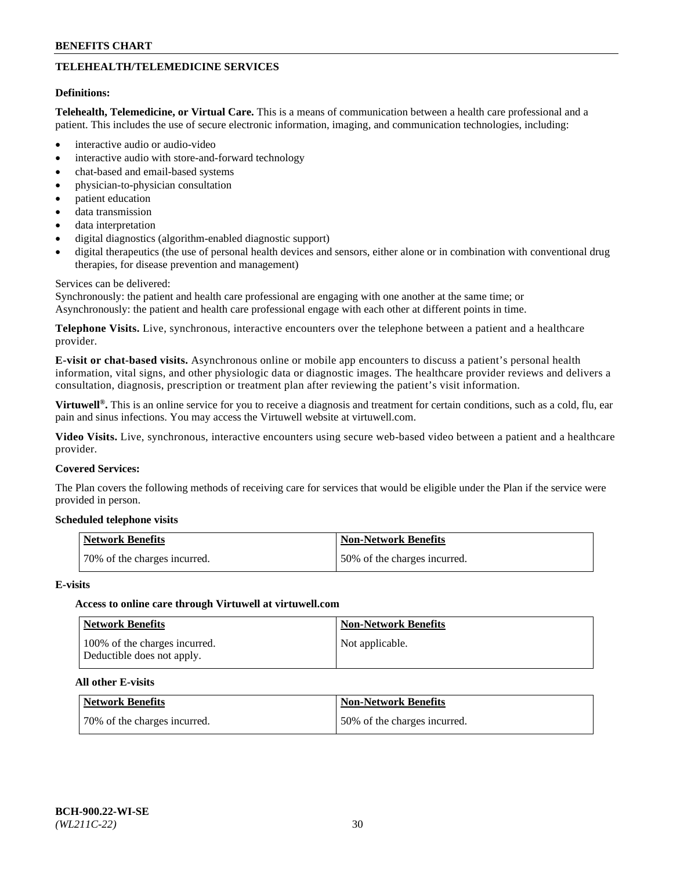# **TELEHEALTH/TELEMEDICINE SERVICES**

#### **Definitions:**

**Telehealth, Telemedicine, or Virtual Care.** This is a means of communication between a health care professional and a patient. This includes the use of secure electronic information, imaging, and communication technologies, including:

- interactive audio or audio-video
- interactive audio with store-and-forward technology
- chat-based and email-based systems
- physician-to-physician consultation
- patient education
- data transmission
- data interpretation
- digital diagnostics (algorithm-enabled diagnostic support)
- digital therapeutics (the use of personal health devices and sensors, either alone or in combination with conventional drug therapies, for disease prevention and management)

#### Services can be delivered:

Synchronously: the patient and health care professional are engaging with one another at the same time; or Asynchronously: the patient and health care professional engage with each other at different points in time.

**Telephone Visits.** Live, synchronous, interactive encounters over the telephone between a patient and a healthcare provider.

**E-visit or chat-based visits.** Asynchronous online or mobile app encounters to discuss a patient's personal health information, vital signs, and other physiologic data or diagnostic images. The healthcare provider reviews and delivers a consultation, diagnosis, prescription or treatment plan after reviewing the patient's visit information.

**Virtuwell®.** This is an online service for you to receive a diagnosis and treatment for certain conditions, such as a cold, flu, ear pain and sinus infections. You may access the Virtuwell website at [virtuwell.com.](https://www.virtuwell.com/)

**Video Visits.** Live, synchronous, interactive encounters using secure web-based video between a patient and a healthcare provider.

#### **Covered Services:**

The Plan covers the following methods of receiving care for services that would be eligible under the Plan if the service were provided in person.

#### **Scheduled telephone visits**

| Network Benefits             | Non-Network Benefits         |
|------------------------------|------------------------------|
| 70% of the charges incurred. | 50% of the charges incurred. |

#### **E-visits**

## **Access to online care through Virtuwell at [virtuwell.com](https://www.virtuwell.com/)**

| <b>Network Benefits</b>                                     | <b>Non-Network Benefits</b> |
|-------------------------------------------------------------|-----------------------------|
| 100% of the charges incurred.<br>Deductible does not apply. | Not applicable.             |

## **All other E-visits**

| Network Benefits             | <b>Non-Network Benefits</b>  |
|------------------------------|------------------------------|
| 70% of the charges incurred. | 50% of the charges incurred. |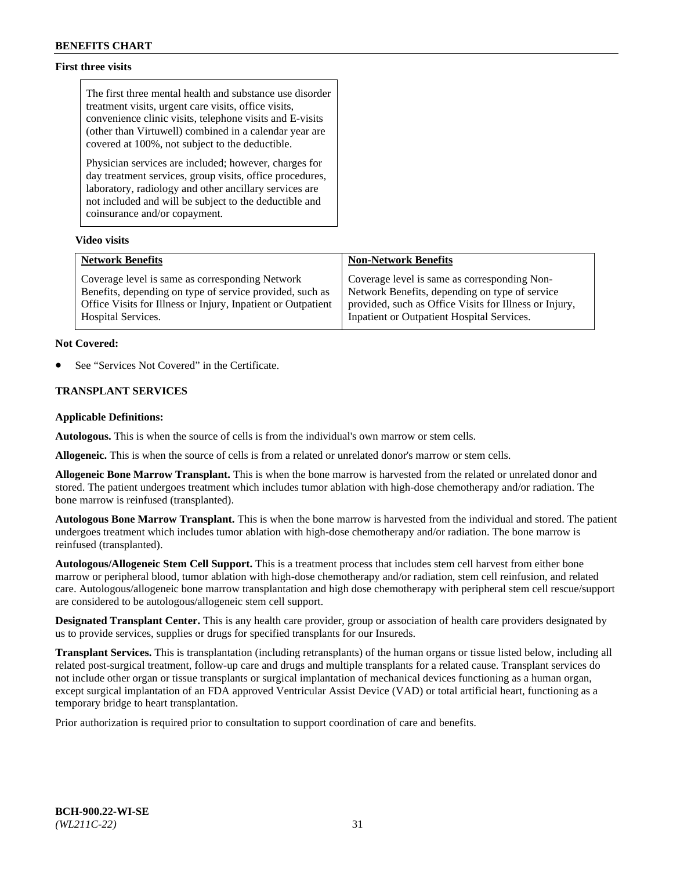## **First three visits**

The first three mental health and substance use disorder treatment visits, urgent care visits, office visits, convenience clinic visits, telephone visits and E-visits (other than Virtuwell) combined in a calendar year are covered at 100%, not subject to the deductible.

Physician services are included; however, charges for day treatment services, group visits, office procedures, laboratory, radiology and other ancillary services are not included and will be subject to the deductible and coinsurance and/or copayment.

#### **Video visits**

| <b>Network Benefits</b>                                      | <b>Non-Network Benefits</b>                            |
|--------------------------------------------------------------|--------------------------------------------------------|
| Coverage level is same as corresponding Network              | Coverage level is same as corresponding Non-           |
| Benefits, depending on type of service provided, such as     | Network Benefits, depending on type of service         |
| Office Visits for Illness or Injury, Inpatient or Outpatient | provided, such as Office Visits for Illness or Injury, |
| <b>Hospital Services.</b>                                    | Inpatient or Outpatient Hospital Services.             |

#### **Not Covered:**

See "Services Not Covered" in the Certificate.

## **TRANSPLANT SERVICES**

#### **Applicable Definitions:**

**Autologous.** This is when the source of cells is from the individual's own marrow or stem cells.

**Allogeneic.** This is when the source of cells is from a related or unrelated donor's marrow or stem cells.

**Allogeneic Bone Marrow Transplant.** This is when the bone marrow is harvested from the related or unrelated donor and stored. The patient undergoes treatment which includes tumor ablation with high-dose chemotherapy and/or radiation. The bone marrow is reinfused (transplanted).

**Autologous Bone Marrow Transplant.** This is when the bone marrow is harvested from the individual and stored. The patient undergoes treatment which includes tumor ablation with high-dose chemotherapy and/or radiation. The bone marrow is reinfused (transplanted).

**Autologous/Allogeneic Stem Cell Support.** This is a treatment process that includes stem cell harvest from either bone marrow or peripheral blood, tumor ablation with high-dose chemotherapy and/or radiation, stem cell reinfusion, and related care. Autologous/allogeneic bone marrow transplantation and high dose chemotherapy with peripheral stem cell rescue/support are considered to be autologous/allogeneic stem cell support.

**Designated Transplant Center.** This is any health care provider, group or association of health care providers designated by us to provide services, supplies or drugs for specified transplants for our Insureds.

**Transplant Services.** This is transplantation (including retransplants) of the human organs or tissue listed below, including all related post-surgical treatment, follow-up care and drugs and multiple transplants for a related cause. Transplant services do not include other organ or tissue transplants or surgical implantation of mechanical devices functioning as a human organ, except surgical implantation of an FDA approved Ventricular Assist Device (VAD) or total artificial heart, functioning as a temporary bridge to heart transplantation.

Prior authorization is required prior to consultation to support coordination of care and benefits.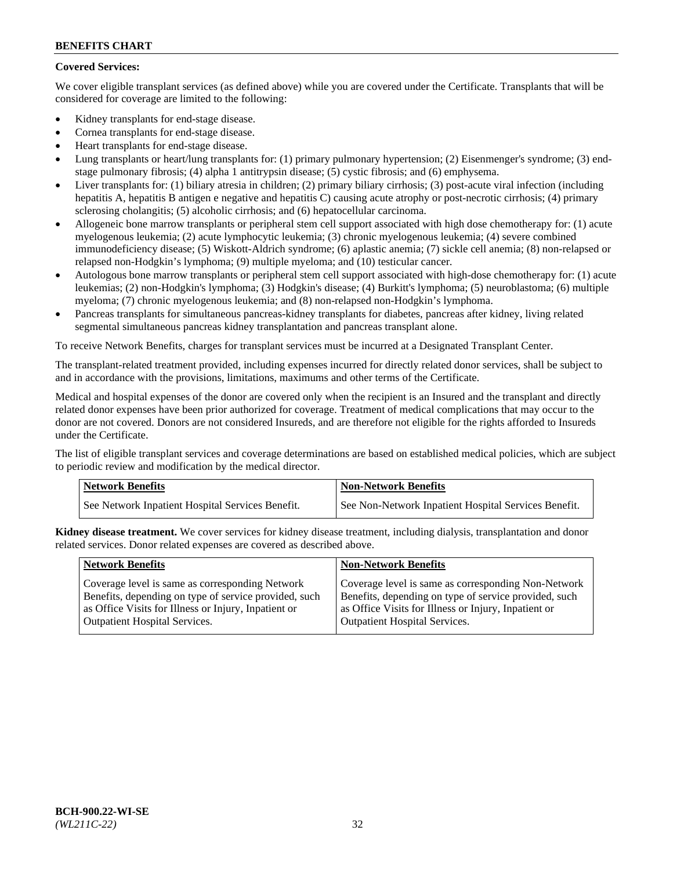## **Covered Services:**

We cover eligible transplant services (as defined above) while you are covered under the Certificate. Transplants that will be considered for coverage are limited to the following:

- Kidney transplants for end-stage disease.
- Cornea transplants for end-stage disease.
- Heart transplants for end-stage disease.
- Lung transplants or heart/lung transplants for: (1) primary pulmonary hypertension; (2) Eisenmenger's syndrome; (3) endstage pulmonary fibrosis; (4) alpha 1 antitrypsin disease; (5) cystic fibrosis; and (6) emphysema.
- Liver transplants for: (1) biliary atresia in children; (2) primary biliary cirrhosis; (3) post-acute viral infection (including hepatitis A, hepatitis B antigen e negative and hepatitis C) causing acute atrophy or post-necrotic cirrhosis; (4) primary sclerosing cholangitis; (5) alcoholic cirrhosis; and (6) hepatocellular carcinoma.
- Allogeneic bone marrow transplants or peripheral stem cell support associated with high dose chemotherapy for: (1) acute myelogenous leukemia; (2) acute lymphocytic leukemia; (3) chronic myelogenous leukemia; (4) severe combined immunodeficiency disease; (5) Wiskott-Aldrich syndrome; (6) aplastic anemia; (7) sickle cell anemia; (8) non-relapsed or relapsed non-Hodgkin's lymphoma; (9) multiple myeloma; and (10) testicular cancer.
- Autologous bone marrow transplants or peripheral stem cell support associated with high-dose chemotherapy for: (1) acute leukemias; (2) non-Hodgkin's lymphoma; (3) Hodgkin's disease; (4) Burkitt's lymphoma; (5) neuroblastoma; (6) multiple myeloma; (7) chronic myelogenous leukemia; and (8) non-relapsed non-Hodgkin's lymphoma.
- Pancreas transplants for simultaneous pancreas-kidney transplants for diabetes, pancreas after kidney, living related segmental simultaneous pancreas kidney transplantation and pancreas transplant alone.

To receive Network Benefits, charges for transplant services must be incurred at a Designated Transplant Center.

The transplant-related treatment provided, including expenses incurred for directly related donor services, shall be subject to and in accordance with the provisions, limitations, maximums and other terms of the Certificate.

Medical and hospital expenses of the donor are covered only when the recipient is an Insured and the transplant and directly related donor expenses have been prior authorized for coverage. Treatment of medical complications that may occur to the donor are not covered. Donors are not considered Insureds, and are therefore not eligible for the rights afforded to Insureds under the Certificate.

The list of eligible transplant services and coverage determinations are based on established medical policies, which are subject to periodic review and modification by the medical director.

| Network Benefits                                 | <b>Non-Network Benefits</b>                          |
|--------------------------------------------------|------------------------------------------------------|
| See Network Inpatient Hospital Services Benefit. | See Non-Network Inpatient Hospital Services Benefit. |

**Kidney disease treatment.** We cover services for kidney disease treatment, including dialysis, transplantation and donor related services. Donor related expenses are covered as described above.

| <b>Network Benefits</b>                               | <b>Non-Network Benefits</b>                           |
|-------------------------------------------------------|-------------------------------------------------------|
| Coverage level is same as corresponding Network       | Coverage level is same as corresponding Non-Network   |
| Benefits, depending on type of service provided, such | Benefits, depending on type of service provided, such |
| as Office Visits for Illness or Injury, Inpatient or  | as Office Visits for Illness or Injury, Inpatient or  |
| <b>Outpatient Hospital Services.</b>                  | <b>Outpatient Hospital Services.</b>                  |